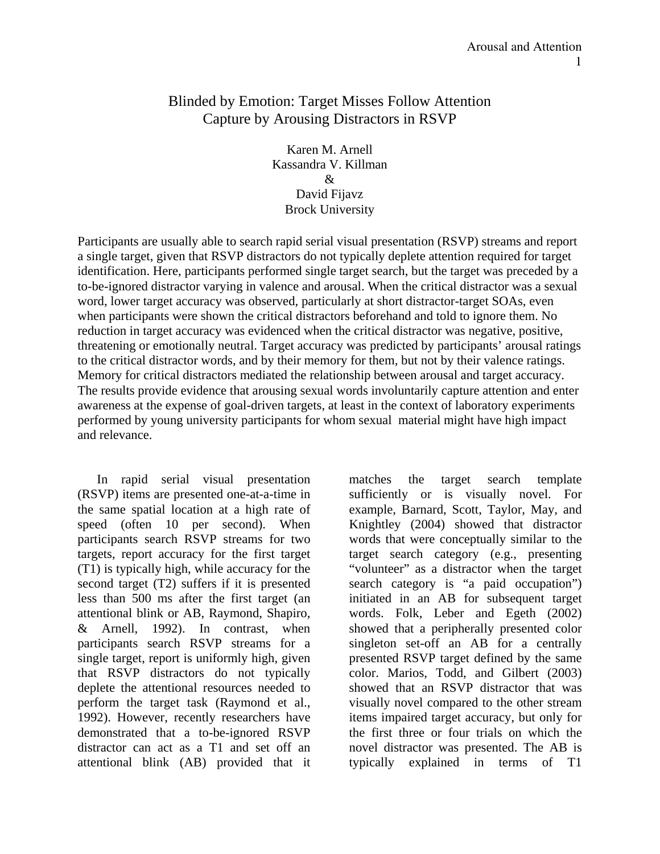# Blinded by Emotion: Target Misses Follow Attention Capture by Arousing Distractors in RSVP

Karen M. Arnell Kassandra V. Killman & David Fijavz Brock University

Participants are usually able to search rapid serial visual presentation (RSVP) streams and report a single target, given that RSVP distractors do not typically deplete attention required for target identification. Here, participants performed single target search, but the target was preceded by a to-be-ignored distractor varying in valence and arousal. When the critical distractor was a sexual word, lower target accuracy was observed, particularly at short distractor-target SOAs, even when participants were shown the critical distractors beforehand and told to ignore them. No reduction in target accuracy was evidenced when the critical distractor was negative, positive, threatening or emotionally neutral. Target accuracy was predicted by participants' arousal ratings to the critical distractor words, and by their memory for them, but not by their valence ratings. Memory for critical distractors mediated the relationship between arousal and target accuracy. The results provide evidence that arousing sexual words involuntarily capture attention and enter awareness at the expense of goal-driven targets, at least in the context of laboratory experiments performed by young university participants for whom sexual material might have high impact and relevance.

In rapid serial visual presentation (RSVP) items are presented one-at-a-time in the same spatial location at a high rate of speed (often 10 per second). When participants search RSVP streams for two targets, report accuracy for the first target (T1) is typically high, while accuracy for the second target (T2) suffers if it is presented less than 500 ms after the first target (an attentional blink or AB, Raymond, Shapiro, & Arnell, 1992). In contrast, when participants search RSVP streams for a single target, report is uniformly high, given that RSVP distractors do not typically deplete the attentional resources needed to perform the target task (Raymond et al., 1992). However, recently researchers have demonstrated that a to-be-ignored RSVP distractor can act as a T1 and set off an attentional blink (AB) provided that it

matches the target search template sufficiently or is visually novel. For example, Barnard, Scott, Taylor, May, and Knightley (2004) showed that distractor words that were conceptually similar to the target search category (e.g., presenting "volunteer" as a distractor when the target search category is "a paid occupation") initiated in an AB for subsequent target words. Folk, Leber and Egeth (2002) showed that a peripherally presented color singleton set-off an AB for a centrally presented RSVP target defined by the same color. Marios, Todd, and Gilbert (2003) showed that an RSVP distractor that was visually novel compared to the other stream items impaired target accuracy, but only for the first three or four trials on which the novel distractor was presented. The AB is typically explained in terms of T1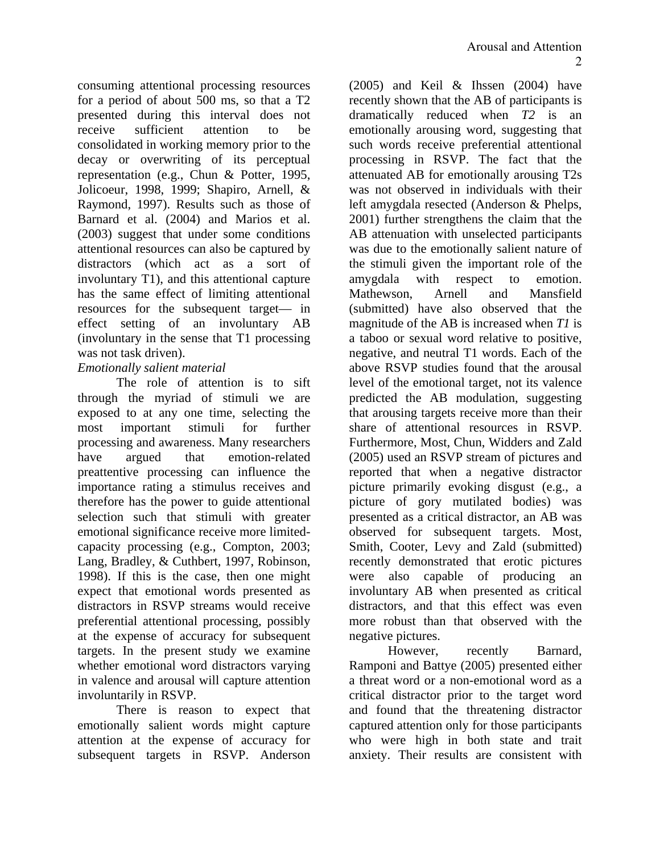consuming attentional processing resources for a period of about 500 ms, so that a T2 presented during this interval does not receive sufficient attention to be consolidated in working memory prior to the decay or overwriting of its perceptual representation (e.g., Chun & Potter, 1995, Jolicoeur, 1998, 1999; Shapiro, Arnell, & Raymond, 1997). Results such as those of Barnard et al. (2004) and Marios et al. (2003) suggest that under some conditions attentional resources can also be captured by distractors (which act as a sort of involuntary T1), and this attentional capture has the same effect of limiting attentional resources for the subsequent target— in effect setting of an involuntary AB (involuntary in the sense that T1 processing was not task driven).

### *Emotionally salient material*

The role of attention is to sift through the myriad of stimuli we are exposed to at any one time, selecting the most important stimuli for further processing and awareness. Many researchers have argued that emotion-related preattentive processing can influence the importance rating a stimulus receives and therefore has the power to guide attentional selection such that stimuli with greater emotional significance receive more limitedcapacity processing (e.g., Compton, 2003; Lang, Bradley, & Cuthbert, 1997, Robinson, 1998). If this is the case, then one might expect that emotional words presented as distractors in RSVP streams would receive preferential attentional processing, possibly at the expense of accuracy for subsequent targets. In the present study we examine whether emotional word distractors varying in valence and arousal will capture attention involuntarily in RSVP.

There is reason to expect that emotionally salient words might capture attention at the expense of accuracy for subsequent targets in RSVP. Anderson

(2005) and Keil & Ihssen (2004) have recently shown that the AB of participants is dramatically reduced when *T2* is an emotionally arousing word, suggesting that such words receive preferential attentional processing in RSVP. The fact that the attenuated AB for emotionally arousing T2s was not observed in individuals with their left amygdala resected (Anderson & Phelps, 2001) further strengthens the claim that the AB attenuation with unselected participants was due to the emotionally salient nature of the stimuli given the important role of the amygdala with respect to emotion. Mathewson, Arnell and Mansfield (submitted) have also observed that the magnitude of the AB is increased when *T1* is a taboo or sexual word relative to positive, negative, and neutral T1 words. Each of the above RSVP studies found that the arousal level of the emotional target, not its valence predicted the AB modulation, suggesting that arousing targets receive more than their share of attentional resources in RSVP. Furthermore, Most, Chun, Widders and Zald (2005) used an RSVP stream of pictures and reported that when a negative distractor picture primarily evoking disgust (e.g., a picture of gory mutilated bodies) was presented as a critical distractor, an AB was observed for subsequent targets. Most, Smith, Cooter, Levy and Zald (submitted) recently demonstrated that erotic pictures were also capable of producing an involuntary AB when presented as critical distractors, and that this effect was even more robust than that observed with the negative pictures.

However, recently Barnard, Ramponi and Battye (2005) presented either a threat word or a non-emotional word as a critical distractor prior to the target word and found that the threatening distractor captured attention only for those participants who were high in both state and trait anxiety. Their results are consistent with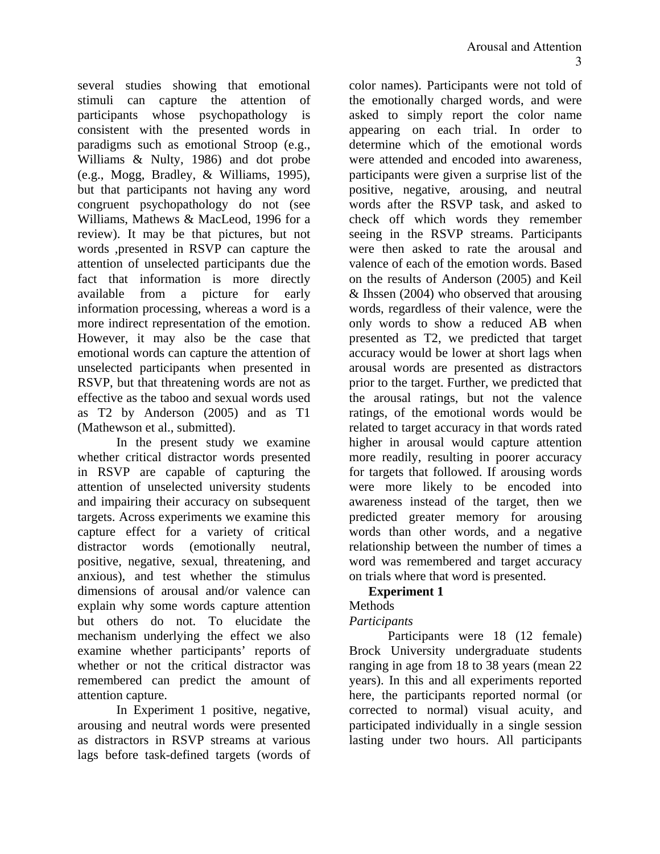several studies showing that emotional stimuli can capture the attention of participants whose psychopathology is consistent with the presented words in paradigms such as emotional Stroop (e.g., Williams & Nulty, 1986) and dot probe (e.g., Mogg, Bradley, & Williams, 1995), but that participants not having any word congruent psychopathology do not (see Williams, Mathews & MacLeod, 1996 for a review). It may be that pictures, but not words ,presented in RSVP can capture the attention of unselected participants due the fact that information is more directly available from a picture for early information processing, whereas a word is a more indirect representation of the emotion. However, it may also be the case that emotional words can capture the attention of unselected participants when presented in RSVP, but that threatening words are not as effective as the taboo and sexual words used as T2 by Anderson (2005) and as T1 (Mathewson et al., submitted).

In the present study we examine whether critical distractor words presented in RSVP are capable of capturing the attention of unselected university students and impairing their accuracy on subsequent targets. Across experiments we examine this capture effect for a variety of critical distractor words (emotionally neutral, positive, negative, sexual, threatening, and anxious), and test whether the stimulus dimensions of arousal and/or valence can explain why some words capture attention but others do not. To elucidate the mechanism underlying the effect we also examine whether participants' reports of whether or not the critical distractor was remembered can predict the amount of attention capture.

In Experiment 1 positive, negative, arousing and neutral words were presented as distractors in RSVP streams at various lags before task-defined targets (words of

color names). Participants were not told of the emotionally charged words, and were asked to simply report the color name appearing on each trial. In order to determine which of the emotional words were attended and encoded into awareness, participants were given a surprise list of the positive, negative, arousing, and neutral words after the RSVP task, and asked to check off which words they remember seeing in the RSVP streams. Participants were then asked to rate the arousal and valence of each of the emotion words. Based on the results of Anderson (2005) and Keil & Ihssen (2004) who observed that arousing words, regardless of their valence, were the only words to show a reduced AB when presented as T2, we predicted that target accuracy would be lower at short lags when arousal words are presented as distractors prior to the target. Further, we predicted that the arousal ratings, but not the valence ratings, of the emotional words would be related to target accuracy in that words rated higher in arousal would capture attention more readily, resulting in poorer accuracy for targets that followed. If arousing words were more likely to be encoded into awareness instead of the target, then we predicted greater memory for arousing words than other words, and a negative relationship between the number of times a word was remembered and target accuracy on trials where that word is presented.

### **Experiment 1**

### Methods

# *Participants*

 Participants were 18 (12 female) Brock University undergraduate students ranging in age from 18 to 38 years (mean 22 years). In this and all experiments reported here, the participants reported normal (or corrected to normal) visual acuity, and participated individually in a single session lasting under two hours. All participants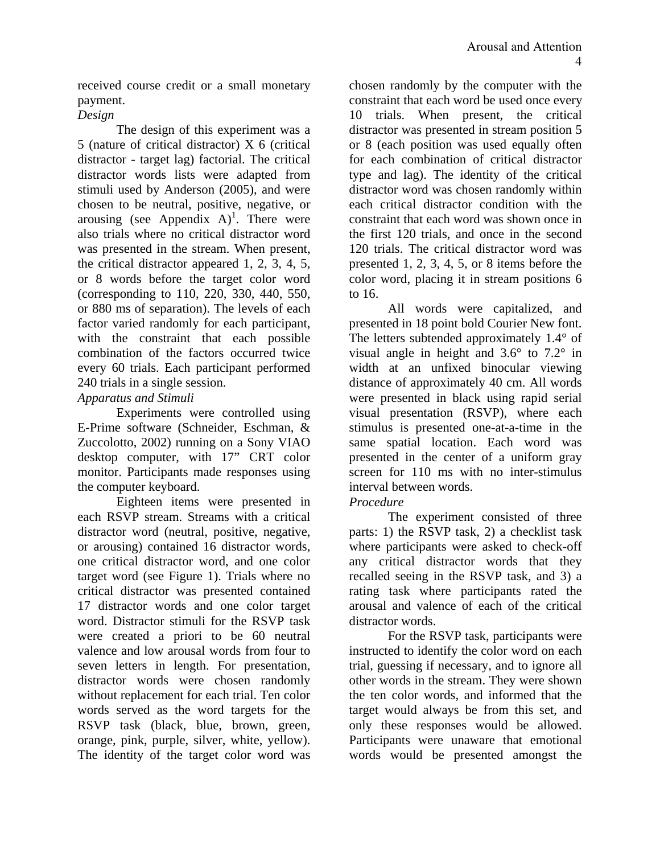received course credit or a small monetary payment.

### *Design*

 The design of this experiment was a 5 (nature of critical distractor) X 6 (critical distractor - target lag) factorial. The critical distractor words lists were adapted from stimuli used by Anderson (2005), and were chosen to be neutral, positive, negative, or arousing (see Appendix  $A$ )<sup>1</sup>. There were also trials where no critical distractor word was presented in the stream. When present, the critical distractor appeared 1, 2, 3, 4, 5, or 8 words before the target color word (corresponding to 110, 220, 330, 440, 550, or 880 ms of separation). The levels of each factor varied randomly for each participant, with the constraint that each possible combination of the factors occurred twice every 60 trials. Each participant performed 240 trials in a single session.

### *Apparatus and Stimuli*

Experiments were controlled using E-Prime software (Schneider, Eschman, & Zuccolotto, 2002) running on a Sony VIAO desktop computer, with 17" CRT color monitor. Participants made responses using the computer keyboard.

Eighteen items were presented in each RSVP stream. Streams with a critical distractor word (neutral, positive, negative, or arousing) contained 16 distractor words, one critical distractor word, and one color target word (see Figure 1). Trials where no critical distractor was presented contained 17 distractor words and one color target word. Distractor stimuli for the RSVP task were created a priori to be 60 neutral valence and low arousal words from four to seven letters in length. For presentation, distractor words were chosen randomly without replacement for each trial. Ten color words served as the word targets for the RSVP task (black, blue, brown, green, orange, pink, purple, silver, white, yellow). The identity of the target color word was

chosen randomly by the computer with the constraint that each word be used once every 10 trials. When present, the critical distractor was presented in stream position 5 or 8 (each position was used equally often for each combination of critical distractor type and lag). The identity of the critical distractor word was chosen randomly within each critical distractor condition with the constraint that each word was shown once in the first 120 trials, and once in the second 120 trials. The critical distractor word was presented 1, 2, 3, 4, 5, or 8 items before the color word, placing it in stream positions 6 to 16.

All words were capitalized, and presented in 18 point bold Courier New font. The letters subtended approximately 1.4° of visual angle in height and 3.6° to 7.2° in width at an unfixed binocular viewing distance of approximately 40 cm. All words were presented in black using rapid serial visual presentation (RSVP), where each stimulus is presented one-at-a-time in the same spatial location. Each word was presented in the center of a uniform gray screen for 110 ms with no inter-stimulus interval between words.

### *Procedure*

 The experiment consisted of three parts: 1) the RSVP task, 2) a checklist task where participants were asked to check-off any critical distractor words that they recalled seeing in the RSVP task, and 3) a rating task where participants rated the arousal and valence of each of the critical distractor words.

For the RSVP task, participants were instructed to identify the color word on each trial, guessing if necessary, and to ignore all other words in the stream. They were shown the ten color words, and informed that the target would always be from this set, and only these responses would be allowed. Participants were unaware that emotional words would be presented amongst the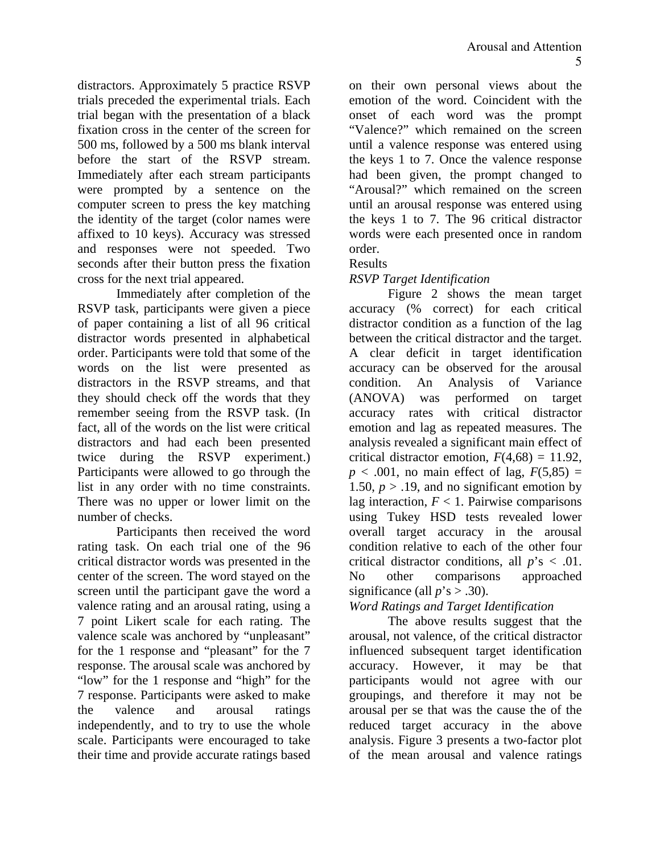distractors. Approximately 5 practice RSVP trials preceded the experimental trials. Each trial began with the presentation of a black fixation cross in the center of the screen for 500 ms, followed by a 500 ms blank interval before the start of the RSVP stream. Immediately after each stream participants were prompted by a sentence on the computer screen to press the key matching the identity of the target (color names were affixed to 10 keys). Accuracy was stressed and responses were not speeded. Two seconds after their button press the fixation cross for the next trial appeared.

 Immediately after completion of the RSVP task, participants were given a piece of paper containing a list of all 96 critical distractor words presented in alphabetical order. Participants were told that some of the words on the list were presented as distractors in the RSVP streams, and that they should check off the words that they remember seeing from the RSVP task. (In fact, all of the words on the list were critical distractors and had each been presented twice during the RSVP experiment.) Participants were allowed to go through the list in any order with no time constraints. There was no upper or lower limit on the number of checks.

 Participants then received the word rating task. On each trial one of the 96 critical distractor words was presented in the center of the screen. The word stayed on the screen until the participant gave the word a valence rating and an arousal rating, using a 7 point Likert scale for each rating. The valence scale was anchored by "unpleasant" for the 1 response and "pleasant" for the 7 response. The arousal scale was anchored by "low" for the 1 response and "high" for the 7 response. Participants were asked to make the valence and arousal ratings independently, and to try to use the whole scale. Participants were encouraged to take their time and provide accurate ratings based

on their own personal views about the emotion of the word. Coincident with the onset of each word was the prompt "Valence?" which remained on the screen until a valence response was entered using the keys 1 to 7. Once the valence response had been given, the prompt changed to "Arousal?" which remained on the screen until an arousal response was entered using the keys 1 to 7. The 96 critical distractor words were each presented once in random order.

### Results

### *RSVP Target Identification*

 Figure 2 shows the mean target accuracy (% correct) for each critical distractor condition as a function of the lag between the critical distractor and the target. A clear deficit in target identification accuracy can be observed for the arousal condition. An Analysis of Variance (ANOVA) was performed on target accuracy rates with critical distractor emotion and lag as repeated measures. The analysis revealed a significant main effect of critical distractor emotion,  $F(4,68) = 11.92$ ,  $p < .001$ , no main effect of lag,  $F(5,85) =$ 1.50,  $p > 0.19$ , and no significant emotion by lag interaction,  $F < 1$ . Pairwise comparisons using Tukey HSD tests revealed lower overall target accuracy in the arousal condition relative to each of the other four critical distractor conditions, all *p*'s < .01. No other comparisons approached significance (all  $p$ 's  $> .30$ ).

### *Word Ratings and Target Identification*

The above results suggest that the arousal, not valence, of the critical distractor influenced subsequent target identification accuracy. However, it may be that participants would not agree with our groupings, and therefore it may not be arousal per se that was the cause the of the reduced target accuracy in the above analysis. Figure 3 presents a two-factor plot of the mean arousal and valence ratings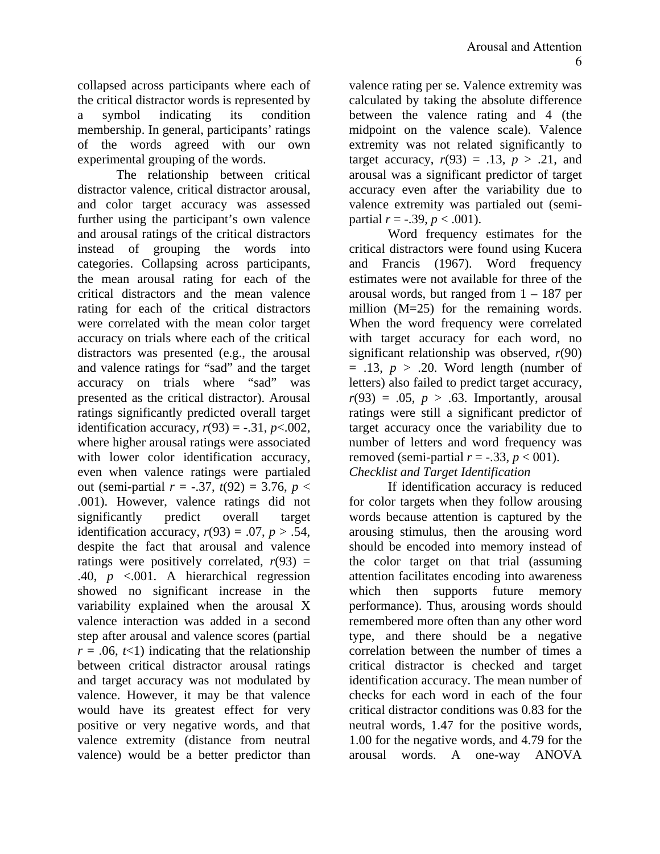collapsed across participants where each of the critical distractor words is represented by a symbol indicating its condition membership. In general, participants' ratings of the words agreed with our own experimental grouping of the words.

The relationship between critical distractor valence, critical distractor arousal, and color target accuracy was assessed further using the participant's own valence and arousal ratings of the critical distractors instead of grouping the words into categories. Collapsing across participants, the mean arousal rating for each of the critical distractors and the mean valence rating for each of the critical distractors were correlated with the mean color target accuracy on trials where each of the critical distractors was presented (e.g., the arousal and valence ratings for "sad" and the target accuracy on trials where "sad" was presented as the critical distractor). Arousal ratings significantly predicted overall target identification accuracy,  $r(93) = -.31$ ,  $p < .002$ , where higher arousal ratings were associated with lower color identification accuracy, even when valence ratings were partialed out (semi-partial  $r = -.37$ ,  $t(92) = 3.76$ ,  $p <$ .001). However, valence ratings did not significantly predict overall target identification accuracy,  $r(93) = .07$ ,  $p > .54$ , despite the fact that arousal and valence ratings were positively correlated,  $r(93)$  = .40, *p* <.001. A hierarchical regression showed no significant increase in the variability explained when the arousal X valence interaction was added in a second step after arousal and valence scores (partial  $r = .06, t<1$ ) indicating that the relationship between critical distractor arousal ratings and target accuracy was not modulated by valence. However, it may be that valence would have its greatest effect for very positive or very negative words, and that valence extremity (distance from neutral valence) would be a better predictor than

valence rating per se. Valence extremity was calculated by taking the absolute difference between the valence rating and 4 (the midpoint on the valence scale). Valence extremity was not related significantly to target accuracy,  $r(93) = .13$ ,  $p > .21$ , and arousal was a significant predictor of target accuracy even after the variability due to valence extremity was partialed out (semipartial  $r = -.39$ ,  $p < .001$ ).

 Word frequency estimates for the critical distractors were found using Kucera and Francis (1967). Word frequency estimates were not available for three of the arousal words, but ranged from  $1 - 187$  per million (M=25) for the remaining words. When the word frequency were correlated with target accuracy for each word, no significant relationship was observed, *r*(90)  $= .13, p > .20$ . Word length (number of letters) also failed to predict target accuracy,  $r(93) = .05$ ,  $p > .63$ . Importantly, arousal ratings were still a significant predictor of target accuracy once the variability due to number of letters and word frequency was removed (semi-partial  $r = -.33$ ,  $p < 001$ ). *Checklist and Target Identification*

If identification accuracy is reduced for color targets when they follow arousing words because attention is captured by the arousing stimulus, then the arousing word should be encoded into memory instead of the color target on that trial (assuming attention facilitates encoding into awareness which then supports future memory performance). Thus, arousing words should remembered more often than any other word type, and there should be a negative correlation between the number of times a critical distractor is checked and target identification accuracy. The mean number of checks for each word in each of the four critical distractor conditions was 0.83 for the neutral words, 1.47 for the positive words, 1.00 for the negative words, and 4.79 for the arousal words. A one-way ANOVA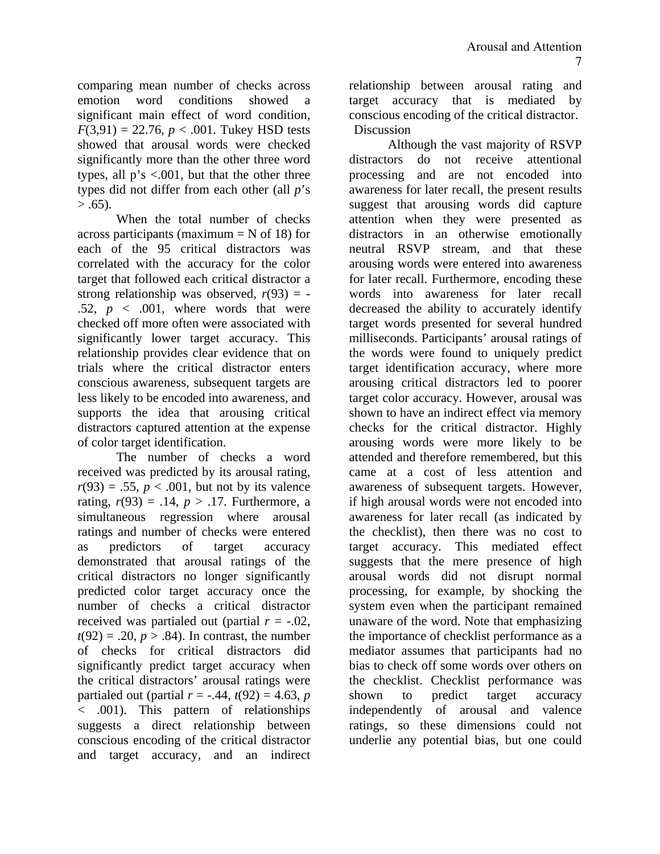comparing mean number of checks across emotion word conditions showed a significant main effect of word condition,  $F(3,91) = 22.76$ ,  $p < .001$ . Tukey HSD tests showed that arousal words were checked significantly more than the other three word types, all p's <.001, but that the other three types did not differ from each other (all *p*'s  $> .65$ ).

When the total number of checks across participants (maximum  $=$  N of 18) for each of the 95 critical distractors was correlated with the accuracy for the color target that followed each critical distractor a strong relationship was observed,  $r(93) = -$ .52,  $p \lt 0.001$ , where words that were checked off more often were associated with significantly lower target accuracy. This relationship provides clear evidence that on trials where the critical distractor enters conscious awareness, subsequent targets are less likely to be encoded into awareness, and supports the idea that arousing critical distractors captured attention at the expense of color target identification.

The number of checks a word received was predicted by its arousal rating,  $r(93) = .55$ ,  $p < .001$ , but not by its valence rating,  $r(93) = .14$ ,  $p > .17$ . Furthermore, a simultaneous regression where arousal ratings and number of checks were entered as predictors of target accuracy demonstrated that arousal ratings of the critical distractors no longer significantly predicted color target accuracy once the number of checks a critical distractor received was partialed out (partial *r* = -.02,  $t(92) = .20, p > .84$ . In contrast, the number of checks for critical distractors did significantly predict target accuracy when the critical distractors' arousal ratings were partialed out (partial  $r = -.44, t(92) = 4.63, p$ < .001). This pattern of relationships suggests a direct relationship between conscious encoding of the critical distractor and target accuracy, and an indirect

relationship between arousal rating and target accuracy that is mediated by conscious encoding of the critical distractor. Discussion

 Although the vast majority of RSVP distractors do not receive attentional processing and are not encoded into awareness for later recall, the present results suggest that arousing words did capture attention when they were presented as distractors in an otherwise emotionally neutral RSVP stream, and that these arousing words were entered into awareness for later recall. Furthermore, encoding these words into awareness for later recall decreased the ability to accurately identify target words presented for several hundred milliseconds. Participants' arousal ratings of the words were found to uniquely predict target identification accuracy, where more arousing critical distractors led to poorer target color accuracy. However, arousal was shown to have an indirect effect via memory checks for the critical distractor. Highly arousing words were more likely to be attended and therefore remembered, but this came at a cost of less attention and awareness of subsequent targets. However, if high arousal words were not encoded into awareness for later recall (as indicated by the checklist), then there was no cost to target accuracy. This mediated effect suggests that the mere presence of high arousal words did not disrupt normal processing, for example, by shocking the system even when the participant remained unaware of the word. Note that emphasizing the importance of checklist performance as a mediator assumes that participants had no bias to check off some words over others on the checklist. Checklist performance was shown to predict target accuracy independently of arousal and valence ratings, so these dimensions could not underlie any potential bias, but one could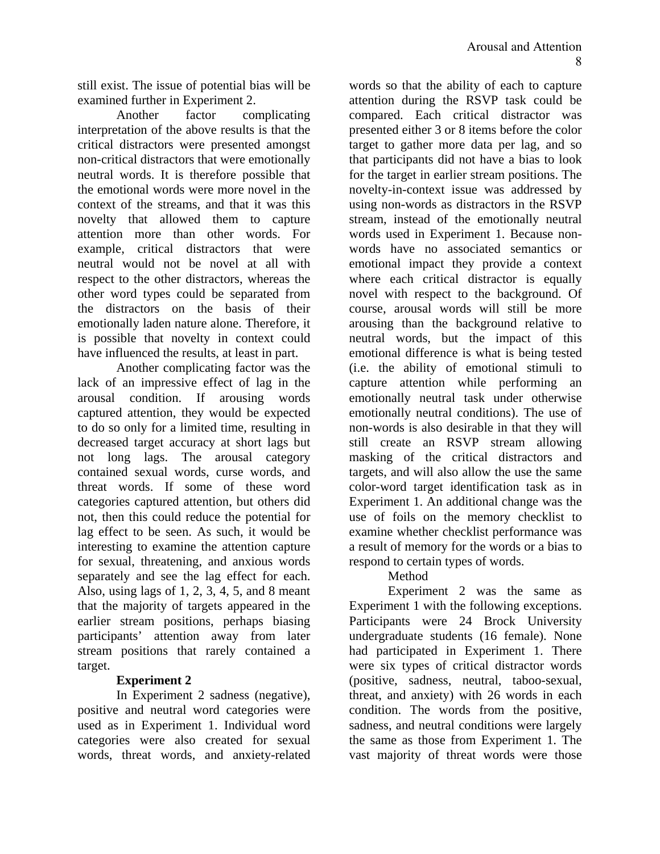still exist. The issue of potential bias will be examined further in Experiment 2.

Another factor complicating interpretation of the above results is that the critical distractors were presented amongst non-critical distractors that were emotionally neutral words. It is therefore possible that the emotional words were more novel in the context of the streams, and that it was this novelty that allowed them to capture attention more than other words. For example, critical distractors that were neutral would not be novel at all with respect to the other distractors, whereas the other word types could be separated from the distractors on the basis of their emotionally laden nature alone. Therefore, it is possible that novelty in context could have influenced the results, at least in part.

Another complicating factor was the lack of an impressive effect of lag in the arousal condition. If arousing words captured attention, they would be expected to do so only for a limited time, resulting in decreased target accuracy at short lags but not long lags. The arousal category contained sexual words, curse words, and threat words. If some of these word categories captured attention, but others did not, then this could reduce the potential for lag effect to be seen. As such, it would be interesting to examine the attention capture for sexual, threatening, and anxious words separately and see the lag effect for each. Also, using lags of 1, 2, 3, 4, 5, and 8 meant that the majority of targets appeared in the earlier stream positions, perhaps biasing participants' attention away from later stream positions that rarely contained a target.

### **Experiment 2**

In Experiment 2 sadness (negative), positive and neutral word categories were used as in Experiment 1. Individual word categories were also created for sexual words, threat words, and anxiety-related

words so that the ability of each to capture attention during the RSVP task could be compared. Each critical distractor was presented either 3 or 8 items before the color target to gather more data per lag, and so that participants did not have a bias to look for the target in earlier stream positions. The novelty-in-context issue was addressed by using non-words as distractors in the RSVP stream, instead of the emotionally neutral words used in Experiment 1. Because nonwords have no associated semantics or emotional impact they provide a context where each critical distractor is equally novel with respect to the background. Of course, arousal words will still be more arousing than the background relative to neutral words, but the impact of this emotional difference is what is being tested (i.e. the ability of emotional stimuli to capture attention while performing an emotionally neutral task under otherwise emotionally neutral conditions). The use of non-words is also desirable in that they will still create an RSVP stream allowing masking of the critical distractors and targets, and will also allow the use the same color-word target identification task as in Experiment 1. An additional change was the use of foils on the memory checklist to examine whether checklist performance was a result of memory for the words or a bias to respond to certain types of words.

### Method

Experiment 2 was the same as Experiment 1 with the following exceptions. Participants were 24 Brock University undergraduate students (16 female). None had participated in Experiment 1. There were six types of critical distractor words (positive, sadness, neutral, taboo-sexual, threat, and anxiety) with 26 words in each condition. The words from the positive, sadness, and neutral conditions were largely the same as those from Experiment 1. The vast majority of threat words were those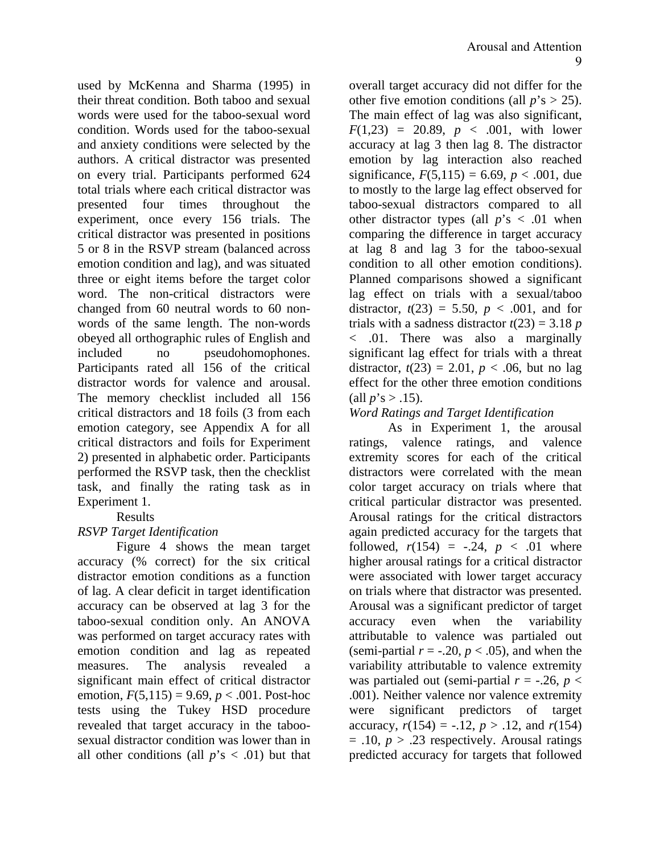used by McKenna and Sharma (1995) in their threat condition. Both taboo and sexual words were used for the taboo-sexual word condition. Words used for the taboo-sexual and anxiety conditions were selected by the authors. A critical distractor was presented on every trial. Participants performed 624 total trials where each critical distractor was presented four times throughout the experiment, once every 156 trials. The critical distractor was presented in positions 5 or 8 in the RSVP stream (balanced across emotion condition and lag), and was situated three or eight items before the target color word. The non-critical distractors were changed from 60 neutral words to 60 nonwords of the same length. The non-words obeyed all orthographic rules of English and included no pseudohomophones. Participants rated all 156 of the critical distractor words for valence and arousal. The memory checklist included all 156 critical distractors and 18 foils (3 from each emotion category, see Appendix A for all critical distractors and foils for Experiment 2) presented in alphabetic order. Participants performed the RSVP task, then the checklist task, and finally the rating task as in Experiment 1.

Results

# *RSVP Target Identification*

 Figure 4 shows the mean target accuracy (% correct) for the six critical distractor emotion conditions as a function of lag. A clear deficit in target identification accuracy can be observed at lag 3 for the taboo-sexual condition only. An ANOVA was performed on target accuracy rates with emotion condition and lag as repeated measures. The analysis revealed a significant main effect of critical distractor emotion,  $F(5,115) = 9.69$ ,  $p < .001$ . Post-hoc tests using the Tukey HSD procedure revealed that target accuracy in the taboosexual distractor condition was lower than in all other conditions (all  $p$ 's  $\lt$  .01) but that

overall target accuracy did not differ for the other five emotion conditions (all  $p$ 's > 25). The main effect of lag was also significant,  $F(1,23) = 20.89, p < .001$ , with lower accuracy at lag 3 then lag 8. The distractor emotion by lag interaction also reached significance,  $F(5,115) = 6.69$ ,  $p < .001$ , due to mostly to the large lag effect observed for taboo-sexual distractors compared to all other distractor types (all  $p$ 's  $\lt$  .01 when comparing the difference in target accuracy at lag 8 and lag 3 for the taboo-sexual condition to all other emotion conditions). Planned comparisons showed a significant lag effect on trials with a sexual/taboo distractor,  $t(23) = 5.50$ ,  $p < .001$ , and for trials with a sadness distractor  $t(23) = 3.18$  *p* < .01. There was also a marginally significant lag effect for trials with a threat distractor,  $t(23) = 2.01$ ,  $p < .06$ , but no lag effect for the other three emotion conditions (all  $p$ 's > .15).

### *Word Ratings and Target Identification*

 As in Experiment 1, the arousal ratings, valence ratings, and valence extremity scores for each of the critical distractors were correlated with the mean color target accuracy on trials where that critical particular distractor was presented. Arousal ratings for the critical distractors again predicted accuracy for the targets that followed,  $r(154) = -.24, p < .01$  where higher arousal ratings for a critical distractor were associated with lower target accuracy on trials where that distractor was presented. Arousal was a significant predictor of target accuracy even when the variability attributable to valence was partialed out (semi-partial  $r = -.20$ ,  $p < .05$ ), and when the variability attributable to valence extremity was partialed out (semi-partial  $r = -.26$ ,  $p <$ .001). Neither valence nor valence extremity were significant predictors of target accuracy,  $r(154) = -.12$ ,  $p > .12$ , and  $r(154)$  $= .10, p > .23$  respectively. Arousal ratings predicted accuracy for targets that followed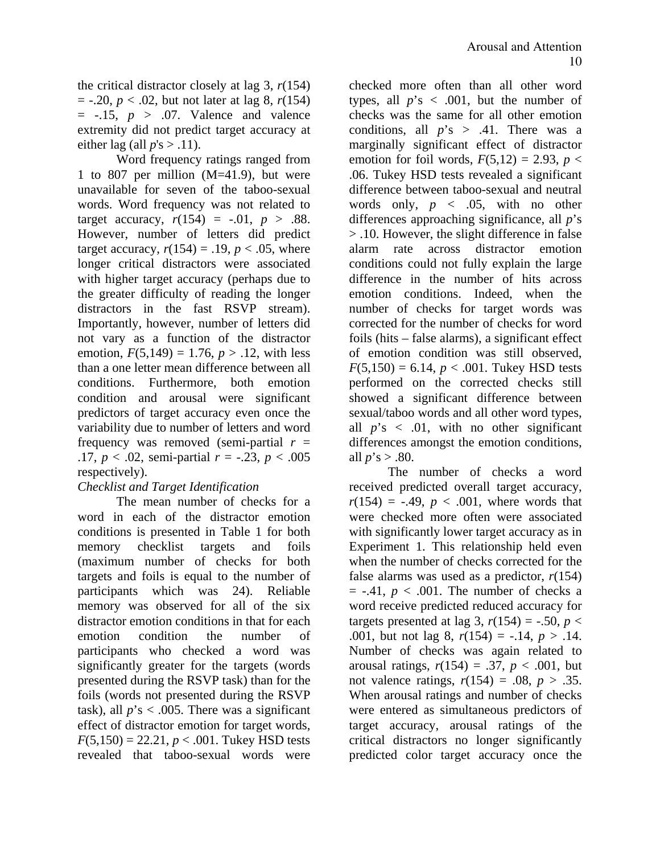the critical distractor closely at lag 3, *r*(154)  $= -.20, p < .02$ , but not later at lag 8,  $r(154)$  $= -.15$ ,  $p > .07$ . Valence and valence extremity did not predict target accuracy at either lag (all  $p's > .11$ ).

Word frequency ratings ranged from 1 to 807 per million (M=41.9), but were unavailable for seven of the taboo-sexual words. Word frequency was not related to target accuracy,  $r(154) = -.01, p > .88$ . However, number of letters did predict target accuracy,  $r(154) = .19$ ,  $p < .05$ , where longer critical distractors were associated with higher target accuracy (perhaps due to the greater difficulty of reading the longer distractors in the fast RSVP stream). Importantly, however, number of letters did not vary as a function of the distractor emotion,  $F(5,149) = 1.76$ ,  $p > .12$ , with less than a one letter mean difference between all conditions. Furthermore, both emotion condition and arousal were significant predictors of target accuracy even once the variability due to number of letters and word frequency was removed (semi-partial  $r =$ .17,  $p < .02$ , semi-partial  $r = -.23$ ,  $p < .005$ respectively).

# *Checklist and Target Identification*

The mean number of checks for a word in each of the distractor emotion conditions is presented in Table 1 for both memory checklist targets and foils (maximum number of checks for both targets and foils is equal to the number of participants which was 24). Reliable memory was observed for all of the six distractor emotion conditions in that for each emotion condition the number of participants who checked a word was significantly greater for the targets (words presented during the RSVP task) than for the foils (words not presented during the RSVP task), all  $p$ 's < .005. There was a significant effect of distractor emotion for target words,  $F(5,150) = 22.21, p < .001$ . Tukey HSD tests revealed that taboo-sexual words were

checked more often than all other word types, all  $p$ 's < .001, but the number of checks was the same for all other emotion conditions, all  $p$ 's > .41. There was a marginally significant effect of distractor emotion for foil words,  $F(5,12) = 2.93$ ,  $p <$ .06. Tukey HSD tests revealed a significant difference between taboo-sexual and neutral words only,  $p \leq .05$ , with no other differences approaching significance, all *p*'s > .10. However, the slight difference in false alarm rate across distractor emotion conditions could not fully explain the large difference in the number of hits across emotion conditions. Indeed, when the number of checks for target words was corrected for the number of checks for word foils (hits – false alarms), a significant effect of emotion condition was still observed,  $F(5,150) = 6.14, p < .001$ . Tukey HSD tests performed on the corrected checks still showed a significant difference between sexual/taboo words and all other word types, all  $p$ 's  $\lt$  .01, with no other significant differences amongst the emotion conditions, all  $p$ 's > .80.

The number of checks a word received predicted overall target accuracy,  $r(154) = -.49, p < .001$ , where words that were checked more often were associated with significantly lower target accuracy as in Experiment 1. This relationship held even when the number of checks corrected for the false alarms was used as a predictor, *r*(154)  $=$  -.41,  $p < .001$ . The number of checks a word receive predicted reduced accuracy for targets presented at lag 3,  $r(154) = -.50$ ,  $p <$ .001, but not lag 8, *r*(154) = -.14, *p* > .14. Number of checks was again related to arousal ratings,  $r(154) = .37$ ,  $p < .001$ , but not valence ratings,  $r(154) = .08$ ,  $p > .35$ . When arousal ratings and number of checks were entered as simultaneous predictors of target accuracy, arousal ratings of the critical distractors no longer significantly predicted color target accuracy once the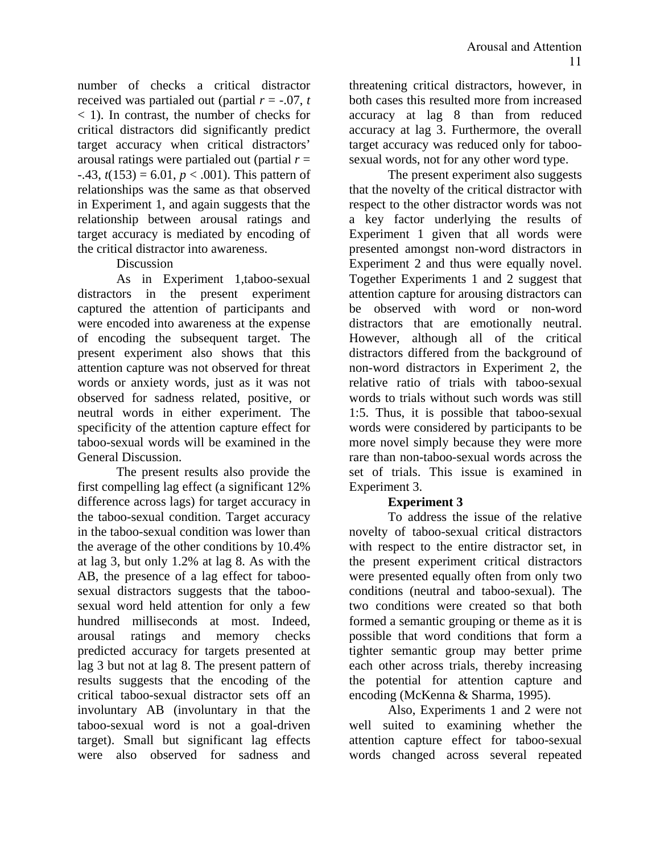number of checks a critical distractor received was partialed out (partial  $r = -.07$ ,  $t$ < 1). In contrast, the number of checks for critical distractors did significantly predict target accuracy when critical distractors' arousal ratings were partialed out (partial *r* =  $-43$ ,  $t(153) = 6.01$ ,  $p < .001$ ). This pattern of relationships was the same as that observed in Experiment 1, and again suggests that the relationship between arousal ratings and target accuracy is mediated by encoding of the critical distractor into awareness.

Discussion

As in Experiment 1,taboo-sexual distractors in the present experiment captured the attention of participants and were encoded into awareness at the expense of encoding the subsequent target. The present experiment also shows that this attention capture was not observed for threat words or anxiety words, just as it was not observed for sadness related, positive, or neutral words in either experiment. The specificity of the attention capture effect for taboo-sexual words will be examined in the General Discussion.

The present results also provide the first compelling lag effect (a significant 12% difference across lags) for target accuracy in the taboo-sexual condition. Target accuracy in the taboo-sexual condition was lower than the average of the other conditions by 10.4% at lag 3, but only 1.2% at lag 8. As with the AB, the presence of a lag effect for taboosexual distractors suggests that the taboosexual word held attention for only a few hundred milliseconds at most. Indeed, arousal ratings and memory checks predicted accuracy for targets presented at lag 3 but not at lag 8. The present pattern of results suggests that the encoding of the critical taboo-sexual distractor sets off an involuntary AB (involuntary in that the taboo-sexual word is not a goal-driven target). Small but significant lag effects were also observed for sadness and

threatening critical distractors, however, in both cases this resulted more from increased accuracy at lag 8 than from reduced accuracy at lag 3. Furthermore, the overall target accuracy was reduced only for taboosexual words, not for any other word type.

The present experiment also suggests that the novelty of the critical distractor with respect to the other distractor words was not a key factor underlying the results of Experiment 1 given that all words were presented amongst non-word distractors in Experiment 2 and thus were equally novel. Together Experiments 1 and 2 suggest that attention capture for arousing distractors can be observed with word or non-word distractors that are emotionally neutral. However, although all of the critical distractors differed from the background of non-word distractors in Experiment 2, the relative ratio of trials with taboo-sexual words to trials without such words was still 1:5. Thus, it is possible that taboo-sexual words were considered by participants to be more novel simply because they were more rare than non-taboo-sexual words across the set of trials. This issue is examined in Experiment 3.

# **Experiment 3**

To address the issue of the relative novelty of taboo-sexual critical distractors with respect to the entire distractor set, in the present experiment critical distractors were presented equally often from only two conditions (neutral and taboo-sexual). The two conditions were created so that both formed a semantic grouping or theme as it is possible that word conditions that form a tighter semantic group may better prime each other across trials, thereby increasing the potential for attention capture and encoding (McKenna & Sharma, 1995).

 Also, Experiments 1 and 2 were not well suited to examining whether the attention capture effect for taboo-sexual words changed across several repeated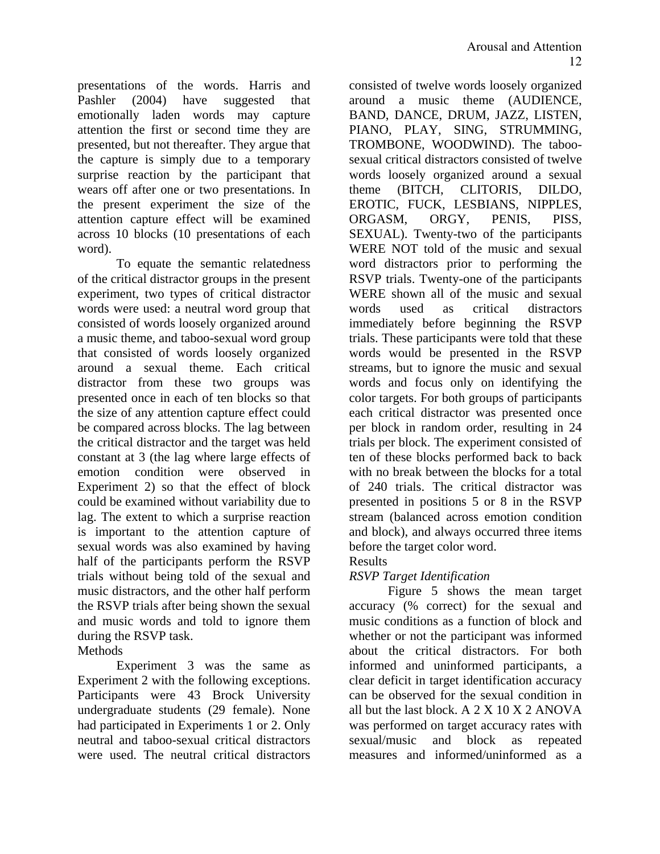presentations of the words. Harris and Pashler (2004) have suggested that emotionally laden words may capture attention the first or second time they are presented, but not thereafter. They argue that the capture is simply due to a temporary surprise reaction by the participant that wears off after one or two presentations. In the present experiment the size of the attention capture effect will be examined across 10 blocks (10 presentations of each word).

 To equate the semantic relatedness of the critical distractor groups in the present experiment, two types of critical distractor words were used: a neutral word group that consisted of words loosely organized around a music theme, and taboo-sexual word group that consisted of words loosely organized around a sexual theme. Each critical distractor from these two groups was presented once in each of ten blocks so that the size of any attention capture effect could be compared across blocks. The lag between the critical distractor and the target was held constant at 3 (the lag where large effects of emotion condition were observed in Experiment 2) so that the effect of block could be examined without variability due to lag. The extent to which a surprise reaction is important to the attention capture of sexual words was also examined by having half of the participants perform the RSVP trials without being told of the sexual and music distractors, and the other half perform the RSVP trials after being shown the sexual and music words and told to ignore them during the RSVP task.

Methods

 Experiment 3 was the same as Experiment 2 with the following exceptions. Participants were 43 Brock University undergraduate students (29 female). None had participated in Experiments 1 or 2. Only neutral and taboo-sexual critical distractors were used. The neutral critical distractors

consisted of twelve words loosely organized around a music theme (AUDIENCE, BAND, DANCE, DRUM, JAZZ, LISTEN, PIANO, PLAY, SING, STRUMMING, TROMBONE, WOODWIND). The taboosexual critical distractors consisted of twelve words loosely organized around a sexual theme (BITCH, CLITORIS, DILDO, EROTIC, FUCK, LESBIANS, NIPPLES, ORGASM, ORGY, PENIS, PISS, SEXUAL). Twenty-two of the participants WERE NOT told of the music and sexual word distractors prior to performing the RSVP trials. Twenty-one of the participants WERE shown all of the music and sexual words used as critical distractors immediately before beginning the RSVP trials. These participants were told that these words would be presented in the RSVP streams, but to ignore the music and sexual words and focus only on identifying the color targets. For both groups of participants each critical distractor was presented once per block in random order, resulting in 24 trials per block. The experiment consisted of ten of these blocks performed back to back with no break between the blocks for a total of 240 trials. The critical distractor was presented in positions 5 or 8 in the RSVP stream (balanced across emotion condition and block), and always occurred three items before the target color word.

Results

# *RSVP Target Identification*

 Figure 5 shows the mean target accuracy (% correct) for the sexual and music conditions as a function of block and whether or not the participant was informed about the critical distractors. For both informed and uninformed participants, a clear deficit in target identification accuracy can be observed for the sexual condition in all but the last block. A 2 X 10 X 2 ANOVA was performed on target accuracy rates with sexual/music and block as repeated measures and informed/uninformed as a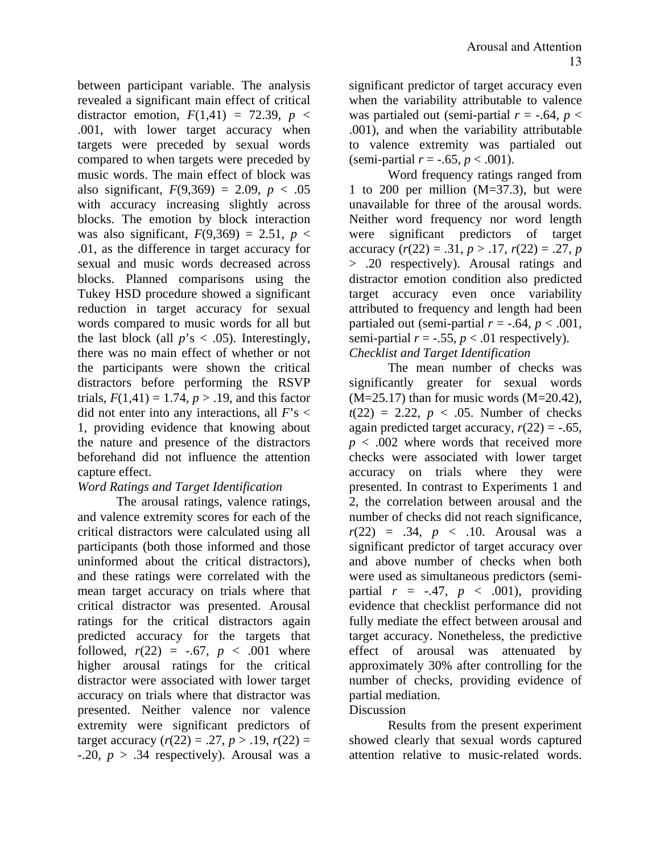between participant variable. The analysis revealed a significant main effect of critical distractor emotion,  $F(1,41) = 72.39$ ,  $p <$ .001, with lower target accuracy when targets were preceded by sexual words compared to when targets were preceded by music words. The main effect of block was also significant,  $F(9,369) = 2.09$ ,  $p < .05$ with accuracy increasing slightly across blocks. The emotion by block interaction was also significant,  $F(9,369) = 2.51$ ,  $p <$ .01, as the difference in target accuracy for sexual and music words decreased across blocks. Planned comparisons using the Tukey HSD procedure showed a significant reduction in target accuracy for sexual words compared to music words for all but the last block (all  $p$ 's < .05). Interestingly, there was no main effect of whether or not the participants were shown the critical distractors before performing the RSVP trials,  $F(1,41) = 1.74$ ,  $p > .19$ , and this factor did not enter into any interactions, all *F*'s < 1, providing evidence that knowing about the nature and presence of the distractors beforehand did not influence the attention capture effect.

### *Word Ratings and Target Identification*

 The arousal ratings, valence ratings, and valence extremity scores for each of the critical distractors were calculated using all participants (both those informed and those uninformed about the critical distractors), and these ratings were correlated with the mean target accuracy on trials where that critical distractor was presented. Arousal ratings for the critical distractors again predicted accuracy for the targets that followed,  $r(22) = -.67, p < .001$  where higher arousal ratings for the critical distractor were associated with lower target accuracy on trials where that distractor was presented. Neither valence nor valence extremity were significant predictors of target accuracy  $(r(22) = .27, p > .19, r(22) =$  $-0.20, p > .34$  respectively). Arousal was a

significant predictor of target accuracy even when the variability attributable to valence was partialed out (semi-partial  $r = -.64$ ,  $p <$ .001), and when the variability attributable to valence extremity was partialed out (semi-partial *r* = -.65, *p* < .001).

Word frequency ratings ranged from 1 to 200 per million (M=37.3), but were unavailable for three of the arousal words. Neither word frequency nor word length were significant predictors of target accuracy  $(r(22) = .31, p > .17, r(22) = .27, p$ > .20 respectively). Arousal ratings and distractor emotion condition also predicted target accuracy even once variability attributed to frequency and length had been partialed out (semi-partial  $r = -.64$ ,  $p < .001$ , semi-partial  $r = -.55$ ,  $p < .01$  respectively). *Checklist and Target Identification* 

 The mean number of checks was significantly greater for sexual words  $(M=25.17)$  than for music words  $(M=20.42)$ ,  $t(22) = 2.22, p < .05$ . Number of checks again predicted target accuracy,  $r(22) = -.65$ ,  $p < .002$  where words that received more checks were associated with lower target accuracy on trials where they were presented. In contrast to Experiments 1 and 2, the correlation between arousal and the number of checks did not reach significance,  $r(22) = .34, p < .10.$  Arousal was a significant predictor of target accuracy over and above number of checks when both were used as simultaneous predictors (semipartial  $r = -.47$ ,  $p < .001$ ), providing evidence that checklist performance did not fully mediate the effect between arousal and target accuracy. Nonetheless, the predictive effect of arousal was attenuated by approximately 30% after controlling for the number of checks, providing evidence of partial mediation.

#### Discussion

 Results from the present experiment showed clearly that sexual words captured attention relative to music-related words.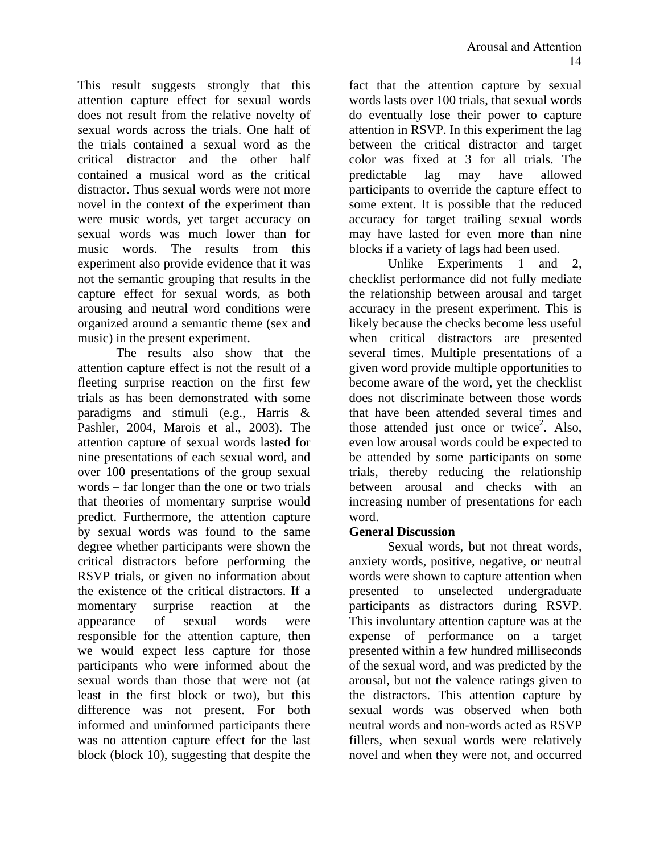This result suggests strongly that this attention capture effect for sexual words does not result from the relative novelty of sexual words across the trials. One half of the trials contained a sexual word as the critical distractor and the other half contained a musical word as the critical distractor. Thus sexual words were not more novel in the context of the experiment than were music words, yet target accuracy on sexual words was much lower than for music words. The results from this experiment also provide evidence that it was not the semantic grouping that results in the capture effect for sexual words, as both arousing and neutral word conditions were organized around a semantic theme (sex and music) in the present experiment.

The results also show that the attention capture effect is not the result of a fleeting surprise reaction on the first few trials as has been demonstrated with some paradigms and stimuli (e.g., Harris & Pashler, 2004, Marois et al., 2003). The attention capture of sexual words lasted for nine presentations of each sexual word, and over 100 presentations of the group sexual words – far longer than the one or two trials that theories of momentary surprise would predict. Furthermore, the attention capture by sexual words was found to the same degree whether participants were shown the critical distractors before performing the RSVP trials, or given no information about the existence of the critical distractors. If a momentary surprise reaction at the appearance of sexual words were responsible for the attention capture, then we would expect less capture for those participants who were informed about the sexual words than those that were not (at least in the first block or two), but this difference was not present. For both informed and uninformed participants there was no attention capture effect for the last block (block 10), suggesting that despite the

fact that the attention capture by sexual words lasts over 100 trials, that sexual words do eventually lose their power to capture attention in RSVP. In this experiment the lag between the critical distractor and target color was fixed at 3 for all trials. The predictable lag may have allowed participants to override the capture effect to some extent. It is possible that the reduced accuracy for target trailing sexual words may have lasted for even more than nine blocks if a variety of lags had been used.

 Unlike Experiments 1 and 2, checklist performance did not fully mediate the relationship between arousal and target accuracy in the present experiment. This is likely because the checks become less useful when critical distractors are presented several times. Multiple presentations of a given word provide multiple opportunities to become aware of the word, yet the checklist does not discriminate between those words that have been attended several times and those attended just once or twice<sup>2</sup>. Also, even low arousal words could be expected to be attended by some participants on some trials, thereby reducing the relationship between arousal and checks with an increasing number of presentations for each word.

### **General Discussion**

Sexual words, but not threat words, anxiety words, positive, negative, or neutral words were shown to capture attention when presented to unselected undergraduate participants as distractors during RSVP. This involuntary attention capture was at the expense of performance on a target presented within a few hundred milliseconds of the sexual word, and was predicted by the arousal, but not the valence ratings given to the distractors. This attention capture by sexual words was observed when both neutral words and non-words acted as RSVP fillers, when sexual words were relatively novel and when they were not, and occurred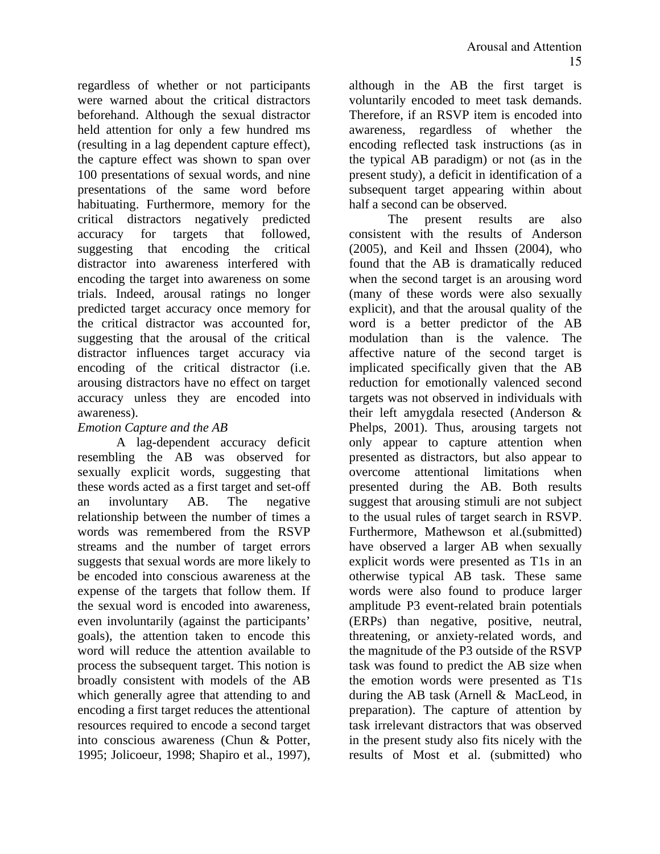regardless of whether or not participants were warned about the critical distractors beforehand. Although the sexual distractor held attention for only a few hundred ms (resulting in a lag dependent capture effect), the capture effect was shown to span over 100 presentations of sexual words, and nine presentations of the same word before habituating. Furthermore, memory for the critical distractors negatively predicted accuracy for targets that followed, suggesting that encoding the critical distractor into awareness interfered with encoding the target into awareness on some trials. Indeed, arousal ratings no longer predicted target accuracy once memory for the critical distractor was accounted for, suggesting that the arousal of the critical distractor influences target accuracy via encoding of the critical distractor (i.e. arousing distractors have no effect on target accuracy unless they are encoded into awareness).

### *Emotion Capture and the AB*

A lag-dependent accuracy deficit resembling the AB was observed for sexually explicit words, suggesting that these words acted as a first target and set-off an involuntary AB. The negative relationship between the number of times a words was remembered from the RSVP streams and the number of target errors suggests that sexual words are more likely to be encoded into conscious awareness at the expense of the targets that follow them. If the sexual word is encoded into awareness, even involuntarily (against the participants' goals), the attention taken to encode this word will reduce the attention available to process the subsequent target. This notion is broadly consistent with models of the AB which generally agree that attending to and encoding a first target reduces the attentional resources required to encode a second target into conscious awareness (Chun & Potter, 1995; Jolicoeur, 1998; Shapiro et al., 1997),

although in the AB the first target is voluntarily encoded to meet task demands. Therefore, if an RSVP item is encoded into awareness, regardless of whether the encoding reflected task instructions (as in the typical AB paradigm) or not (as in the present study), a deficit in identification of a subsequent target appearing within about half a second can be observed.

The present results are also consistent with the results of Anderson (2005), and Keil and Ihssen (2004), who found that the AB is dramatically reduced when the second target is an arousing word (many of these words were also sexually explicit), and that the arousal quality of the word is a better predictor of the AB modulation than is the valence. The affective nature of the second target is implicated specifically given that the AB reduction for emotionally valenced second targets was not observed in individuals with their left amygdala resected (Anderson & Phelps, 2001). Thus, arousing targets not only appear to capture attention when presented as distractors, but also appear to overcome attentional limitations when presented during the AB. Both results suggest that arousing stimuli are not subject to the usual rules of target search in RSVP. Furthermore, Mathewson et al.(submitted) have observed a larger AB when sexually explicit words were presented as T1s in an otherwise typical AB task. These same words were also found to produce larger amplitude P3 event-related brain potentials (ERPs) than negative, positive, neutral, threatening, or anxiety-related words, and the magnitude of the P3 outside of the RSVP task was found to predict the AB size when the emotion words were presented as T1s during the AB task (Arnell & MacLeod, in preparation). The capture of attention by task irrelevant distractors that was observed in the present study also fits nicely with the results of Most et al. (submitted) who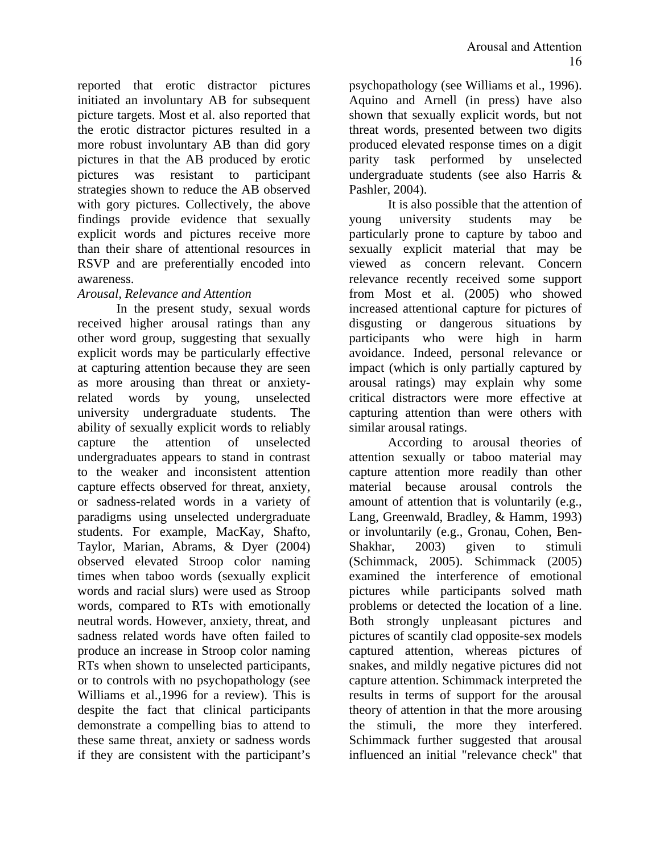reported that erotic distractor pictures initiated an involuntary AB for subsequent picture targets. Most et al. also reported that the erotic distractor pictures resulted in a more robust involuntary AB than did gory pictures in that the AB produced by erotic pictures was resistant to participant strategies shown to reduce the AB observed with gory pictures. Collectively, the above findings provide evidence that sexually explicit words and pictures receive more than their share of attentional resources in RSVP and are preferentially encoded into awareness.

### *Arousal, Relevance and Attention*

In the present study, sexual words received higher arousal ratings than any other word group, suggesting that sexually explicit words may be particularly effective at capturing attention because they are seen as more arousing than threat or anxietyrelated words by young, unselected university undergraduate students. The ability of sexually explicit words to reliably capture the attention of unselected undergraduates appears to stand in contrast to the weaker and inconsistent attention capture effects observed for threat, anxiety, or sadness-related words in a variety of paradigms using unselected undergraduate students. For example, MacKay, Shafto, Taylor, Marian, Abrams, & Dyer (2004) observed elevated Stroop color naming times when taboo words (sexually explicit words and racial slurs) were used as Stroop words, compared to RTs with emotionally neutral words. However, anxiety, threat, and sadness related words have often failed to produce an increase in Stroop color naming RTs when shown to unselected participants, or to controls with no psychopathology (see Williams et al.,1996 for a review). This is despite the fact that clinical participants demonstrate a compelling bias to attend to these same threat, anxiety or sadness words if they are consistent with the participant's

psychopathology (see Williams et al., 1996). Aquino and Arnell (in press) have also shown that sexually explicit words, but not threat words, presented between two digits produced elevated response times on a digit parity task performed by unselected undergraduate students (see also Harris & Pashler, 2004).

It is also possible that the attention of young university students may be particularly prone to capture by taboo and sexually explicit material that may be viewed as concern relevant. Concern relevance recently received some support from Most et al. (2005) who showed increased attentional capture for pictures of disgusting or dangerous situations by participants who were high in harm avoidance. Indeed, personal relevance or impact (which is only partially captured by arousal ratings) may explain why some critical distractors were more effective at capturing attention than were others with similar arousal ratings.

According to arousal theories of attention sexually or taboo material may capture attention more readily than other material because arousal controls the amount of attention that is voluntarily (e.g., Lang, Greenwald, Bradley, & Hamm, 1993) or involuntarily (e.g., Gronau, Cohen, Ben-Shakhar, 2003) given to stimuli (Schimmack, 2005). Schimmack (2005) examined the interference of emotional pictures while participants solved math problems or detected the location of a line. Both strongly unpleasant pictures and pictures of scantily clad opposite-sex models captured attention, whereas pictures of snakes, and mildly negative pictures did not capture attention. Schimmack interpreted the results in terms of support for the arousal theory of attention in that the more arousing the stimuli, the more they interfered. Schimmack further suggested that arousal influenced an initial "relevance check" that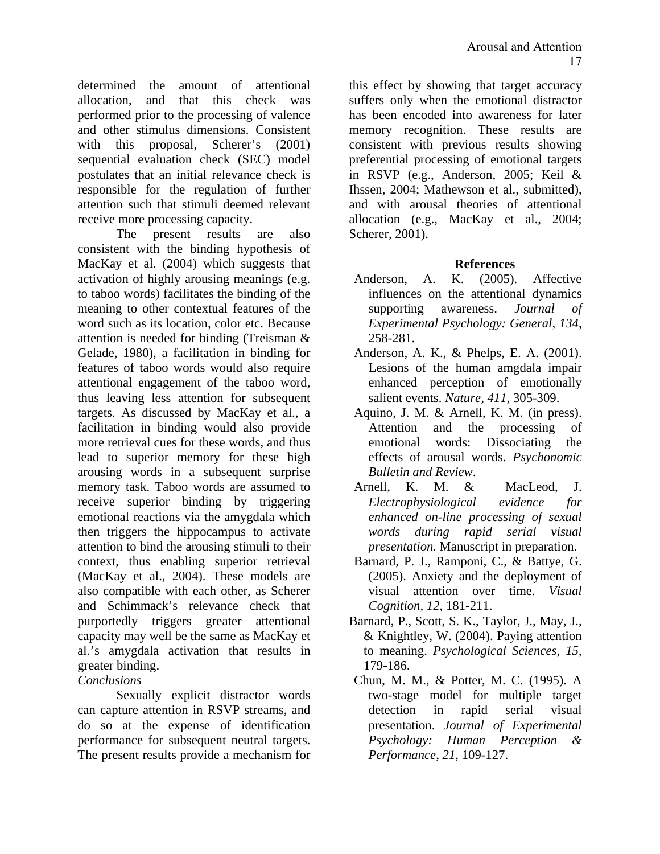determined the amount of attentional allocation, and that this check was performed prior to the processing of valence and other stimulus dimensions. Consistent with this proposal. Scherer's (2001) sequential evaluation check (SEC) model postulates that an initial relevance check is responsible for the regulation of further attention such that stimuli deemed relevant receive more processing capacity.

The present results are also consistent with the binding hypothesis of MacKay et al. (2004) which suggests that activation of highly arousing meanings (e.g. to taboo words) facilitates the binding of the meaning to other contextual features of the word such as its location, color etc. Because attention is needed for binding (Treisman & Gelade, 1980), a facilitation in binding for features of taboo words would also require attentional engagement of the taboo word, thus leaving less attention for subsequent targets. As discussed by MacKay et al., a facilitation in binding would also provide more retrieval cues for these words, and thus lead to superior memory for these high arousing words in a subsequent surprise memory task. Taboo words are assumed to receive superior binding by triggering emotional reactions via the amygdala which then triggers the hippocampus to activate attention to bind the arousing stimuli to their context, thus enabling superior retrieval (MacKay et al., 2004). These models are also compatible with each other, as Scherer and Schimmack's relevance check that purportedly triggers greater attentional capacity may well be the same as MacKay et al.'s amygdala activation that results in greater binding.

### *Conclusions*

Sexually explicit distractor words can capture attention in RSVP streams, and do so at the expense of identification performance for subsequent neutral targets. The present results provide a mechanism for

this effect by showing that target accuracy suffers only when the emotional distractor has been encoded into awareness for later memory recognition. These results are consistent with previous results showing preferential processing of emotional targets in RSVP (e.g., Anderson, 2005; Keil & Ihssen, 2004; Mathewson et al., submitted), and with arousal theories of attentional allocation (e.g., MacKay et al., 2004; Scherer, 2001).

### **References**

- Anderson, A. K. (2005). Affective influences on the attentional dynamics supporting awareness. *Journal of Experimental Psychology: General*, *134*, 258-281.
- Anderson, A. K., & Phelps, E. A. (2001). Lesions of the human amgdala impair enhanced perception of emotionally salient events. *Nature, 411*, 305-309.
- Aquino, J. M. & Arnell, K. M. (in press). Attention and the processing of emotional words: Dissociating the effects of arousal words. *Psychonomic Bulletin and Review*.
- Arnell, K. M. & MacLeod, J. *Electrophysiological evidence for enhanced on-line processing of sexual words during rapid serial visual presentation.* Manuscript in preparation.
- Barnard, P. J., Ramponi, C., & Battye, G. (2005). Anxiety and the deployment of visual attention over time. *Visual Cognition, 12*, 181-211.
- Barnard, P., Scott, S. K., Taylor, J., May, J., & Knightley, W. (2004). Paying attention to meaning. *Psychological Sciences, 15*, 179-186.
- Chun, M. M., & Potter, M. C. (1995). A two-stage model for multiple target detection in rapid serial visual presentation. *Journal of Experimental Psychology: Human Perception & Performance*, *21*, 109-127.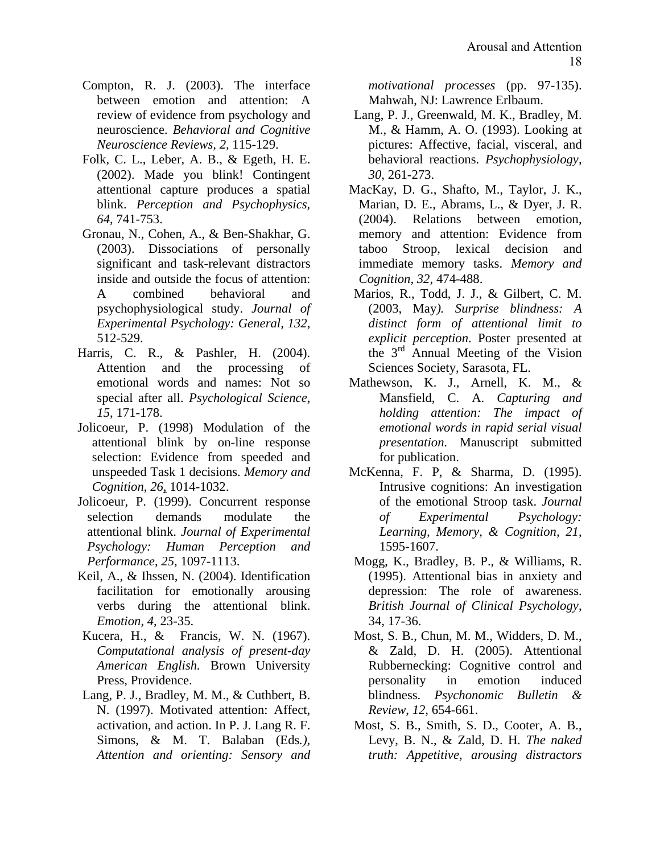- Compton, R. J. (2003). The interface between emotion and attention: A review of evidence from psychology and neuroscience. *Behavioral and Cognitive Neuroscience Reviews, 2*, 115-129.
- Folk, C. L., Leber, A. B., & Egeth, H. E. (2002). Made you blink! Contingent attentional capture produces a spatial blink. *Perception and Psychophysics, 64*, 741-753.
- Gronau, N., Cohen, A., & Ben-Shakhar, G. (2003). Dissociations of personally significant and task-relevant distractors inside and outside the focus of attention: A combined behavioral and psychophysiological study. *Journal of Experimental Psychology: General, 132*, 512-529.
- Harris, C. R., & Pashler, H. (2004). Attention and the processing of emotional words and names: Not so special after all. *Psychological Science, 15*, 171-178.
- Jolicoeur, P. (1998) Modulation of the attentional blink by on-line response selection: Evidence from speeded and unspeeded Task 1 decisions. *Memory and Cognition*, *26*, 1014-1032.
- Jolicoeur, P. (1999). Concurrent response selection demands modulate the attentional blink. *Journal of Experimental Psychology: Human Perception and Performance*, *25,* 1097-1113.
- Keil, A., & Ihssen, N. (2004). Identification facilitation for emotionally arousing verbs during the attentional blink. *Emotion, 4*, 23-35.
- Kucera, H., & Francis, W. N. (1967). *Computational analysis of present-day American English.* Brown University Press, Providence.
- Lang, P. J., Bradley, M. M., & Cuthbert, B. N. (1997). Motivated attention: Affect, activation, and action. In P. J. Lang R. F. Simons, & M. T. Balaban (Eds*.), Attention and orienting: Sensory and*

*motivational processes* (pp. 97-135). Mahwah, NJ: Lawrence Erlbaum.

- Lang, P. J., Greenwald, M. K., Bradley, M. M., & Hamm, A. O. (1993). Looking at pictures: Affective, facial, visceral, and behavioral reactions. *Psychophysiology, 30*, 261-273.
- MacKay, D. G., Shafto, M., Taylor, J. K., Marian, D. E., Abrams, L., & Dyer, J. R. (2004). Relations between emotion, memory and attention: Evidence from taboo Stroop, lexical decision and immediate memory tasks. *Memory and Cognition, 32*, 474-488.
- Marios, R., Todd, J. J., & Gilbert, C. M. (2003, May*). Surprise blindness: A distinct form of attentional limit to explicit perception*. Poster presented at the  $3<sup>rd</sup>$  Annual Meeting of the Vision Sciences Society, Sarasota, FL.
- Mathewson, K. J., Arnell, K. M., & Mansfield, C. A. *Capturing and holding attention: The impact of emotional words in rapid serial visual presentation*. Manuscript submitted for publication.
- McKenna, F. P, & Sharma, D. (1995). Intrusive cognitions: An investigation of the emotional Stroop task. *Journal of Experimental Psychology: Learning, Memory, & Cognition, 21*, 1595-1607.
- Mogg, K., Bradley, B. P., & Williams, R. (1995). Attentional bias in anxiety and depression: The role of awareness. *British Journal of Clinical Psychology*, 34, 17-36.
- Most, S. B., Chun, M. M., Widders, D. M., & Zald, D. H. (2005). Attentional Rubbernecking: Cognitive control and personality in emotion induced blindness. *Psychonomic Bulletin & Review*, *12*, 654-661.
- Most, S. B., Smith, S. D., Cooter, A. B., Levy, B. N., & Zald, D. H*. The naked truth: Appetitive, arousing distractors*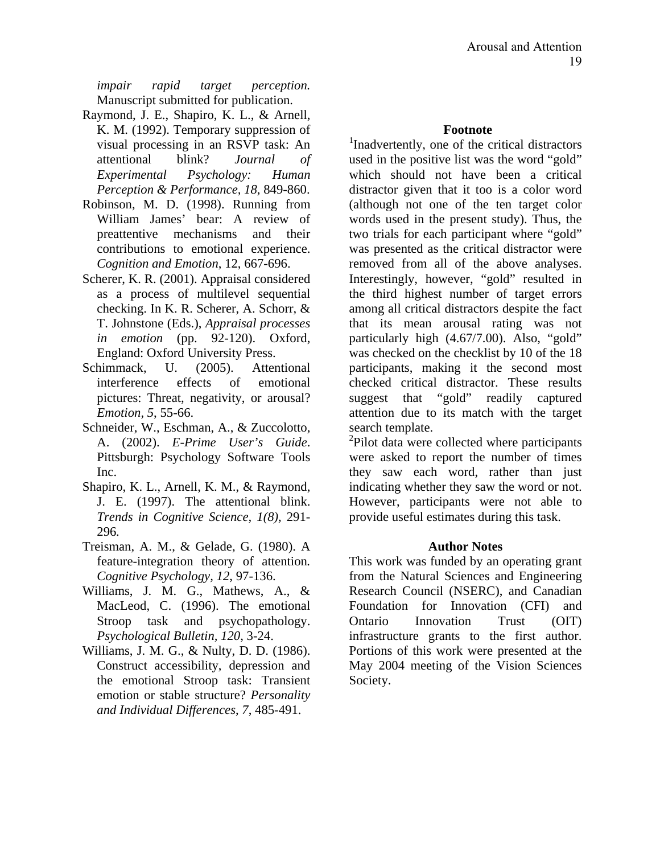*impair rapid target perception.* Manuscript submitted for publication.

- Raymond, J. E., Shapiro, K. L., & Arnell, K. M. (1992). Temporary suppression of visual processing in an RSVP task: An attentional blink? *Journal of Experimental Psychology: Human Perception & Performance, 18*, 849-860.
- Robinson, M. D. (1998). Running from William James' bear: A review of preattentive mechanisms and their contributions to emotional experience. *Cognition and Emotion*, 12, 667-696.
- Scherer, K. R. (2001). Appraisal considered as a process of multilevel sequential checking. In K. R. Scherer, A. Schorr, & T. Johnstone (Eds.), *Appraisal processes in emotion* (pp. 92-120). Oxford, England: Oxford University Press.
- Schimmack, U. (2005). Attentional interference effects of emotional pictures: Threat, negativity, or arousal? *Emotion, 5*, 55-66.
- Schneider, W., Eschman, A., & Zuccolotto, A. (2002). *E-Prime User's Guide*. Pittsburgh: Psychology Software Tools Inc.
- Shapiro, K. L., Arnell, K. M., & Raymond, J. E. (1997). The attentional blink. *Trends in Cognitive Science, 1(8),* 291- 296*.*
- Treisman, A. M., & Gelade, G. (1980). A feature-integration theory of attention*. Cognitive Psychology, 12*, 97-136.
- Williams, J. M. G., Mathews, A., & MacLeod, C. (1996). The emotional Stroop task and psychopathology. *Psychological Bulletin, 120*, 3-24.
- Williams, J. M. G., & Nulty, D. D. (1986). Construct accessibility, depression and the emotional Stroop task: Transient emotion or stable structure? *Personality and Individual Differences*, *7*, 485-491.

#### **Footnote**

<sup>1</sup>Inadvertently, one of the critical distractors used in the positive list was the word "gold" which should not have been a critical distractor given that it too is a color word (although not one of the ten target color words used in the present study). Thus, the two trials for each participant where "gold" was presented as the critical distractor were removed from all of the above analyses. Interestingly, however, "gold" resulted in the third highest number of target errors among all critical distractors despite the fact that its mean arousal rating was not particularly high (4.67/7.00). Also, "gold" was checked on the checklist by 10 of the 18 participants, making it the second most checked critical distractor. These results suggest that "gold" readily captured attention due to its match with the target search template.

<sup>2</sup>Pilot data were collected where participants were asked to report the number of times they saw each word, rather than just indicating whether they saw the word or not. However, participants were not able to provide useful estimates during this task.

#### **Author Notes**

This work was funded by an operating grant from the Natural Sciences and Engineering Research Council (NSERC), and Canadian Foundation for Innovation (CFI) and Ontario Innovation Trust (OIT) infrastructure grants to the first author. Portions of this work were presented at the May 2004 meeting of the Vision Sciences Society.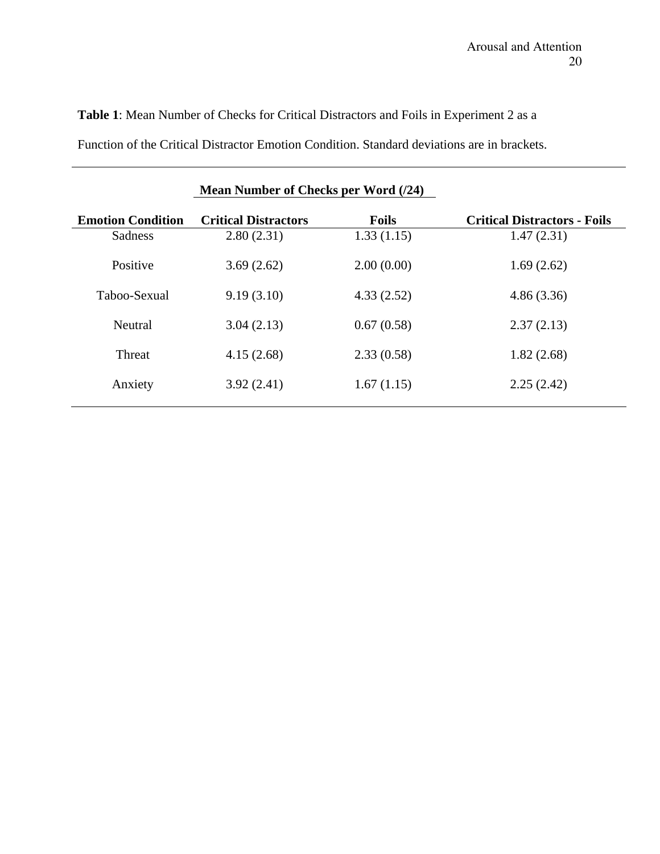# **Table 1**: Mean Number of Checks for Critical Distractors and Foils in Experiment 2 as a

Function of the Critical Distractor Emotion Condition. Standard deviations are in brackets.

|                          | Mean Number of Checks per Word (/24) |              |                                     |  |
|--------------------------|--------------------------------------|--------------|-------------------------------------|--|
| <b>Emotion Condition</b> | <b>Critical Distractors</b>          | <b>Foils</b> | <b>Critical Distractors - Foils</b> |  |
| Sadness                  | 2.80(2.31)                           | 1.33(1.15)   | 1.47(2.31)                          |  |
| Positive                 | 3.69(2.62)                           | 2.00(0.00)   | 1.69(2.62)                          |  |
| Taboo-Sexual             | 9.19(3.10)                           | 4.33(2.52)   | 4.86(3.36)                          |  |
| Neutral                  | 3.04(2.13)                           | 0.67(0.58)   | 2.37(2.13)                          |  |
| Threat                   | 4.15(2.68)                           | 2.33(0.58)   | 1.82(2.68)                          |  |
| Anxiety                  | 3.92(2.41)                           | 1.67(1.15)   | 2.25(2.42)                          |  |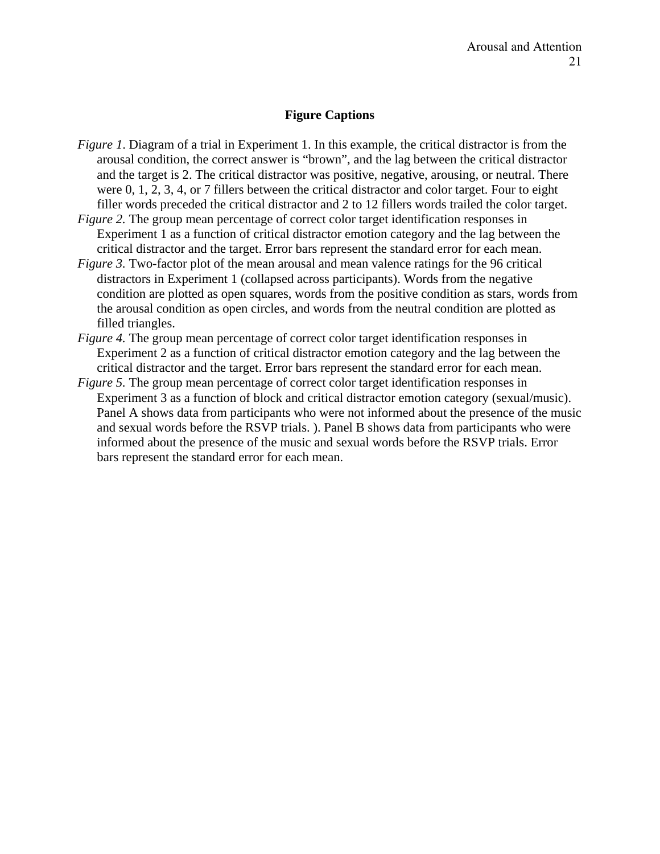### **Figure Captions**

- *Figure 1*. Diagram of a trial in Experiment 1. In this example, the critical distractor is from the arousal condition, the correct answer is "brown", and the lag between the critical distractor and the target is 2. The critical distractor was positive, negative, arousing, or neutral. There were 0, 1, 2, 3, 4, or 7 fillers between the critical distractor and color target. Four to eight filler words preceded the critical distractor and 2 to 12 fillers words trailed the color target.
- *Figure 2.* The group mean percentage of correct color target identification responses in Experiment 1 as a function of critical distractor emotion category and the lag between the critical distractor and the target. Error bars represent the standard error for each mean.
- *Figure 3.* Two-factor plot of the mean arousal and mean valence ratings for the 96 critical distractors in Experiment 1 (collapsed across participants). Words from the negative condition are plotted as open squares, words from the positive condition as stars, words from the arousal condition as open circles, and words from the neutral condition are plotted as filled triangles.
- *Figure 4.* The group mean percentage of correct color target identification responses in Experiment 2 as a function of critical distractor emotion category and the lag between the critical distractor and the target. Error bars represent the standard error for each mean.
- *Figure 5.* The group mean percentage of correct color target identification responses in Experiment 3 as a function of block and critical distractor emotion category (sexual/music). Panel A shows data from participants who were not informed about the presence of the music and sexual words before the RSVP trials. ). Panel B shows data from participants who were informed about the presence of the music and sexual words before the RSVP trials. Error bars represent the standard error for each mean.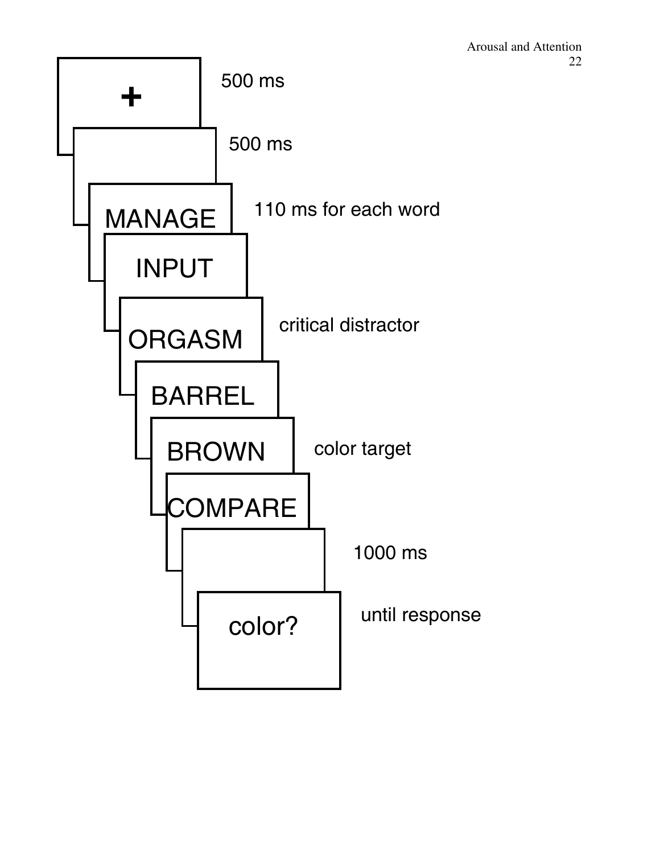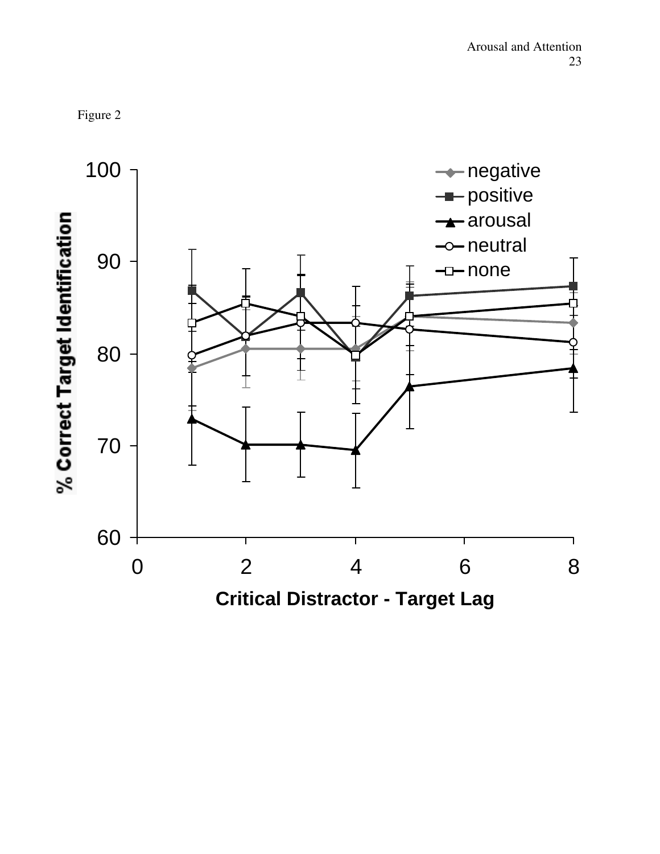

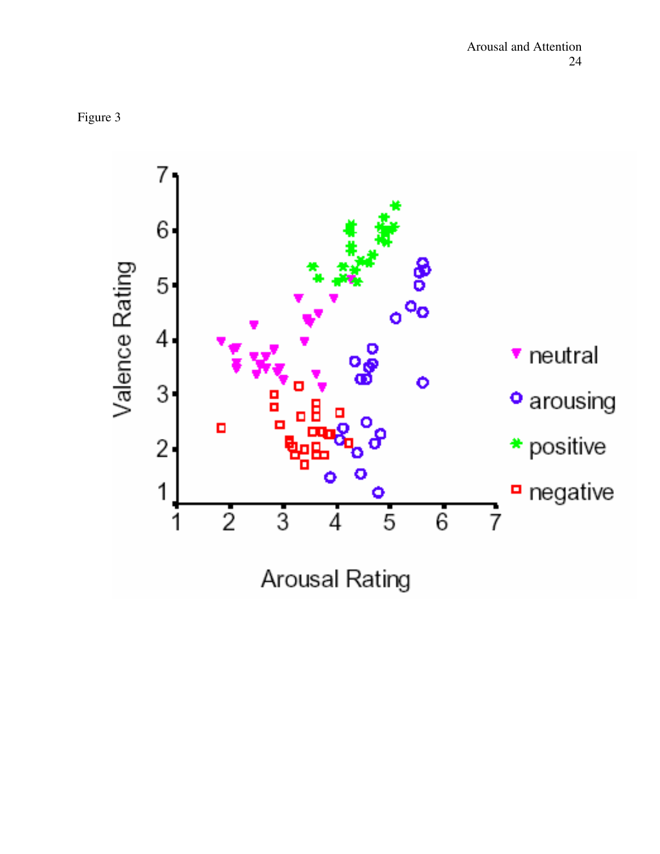

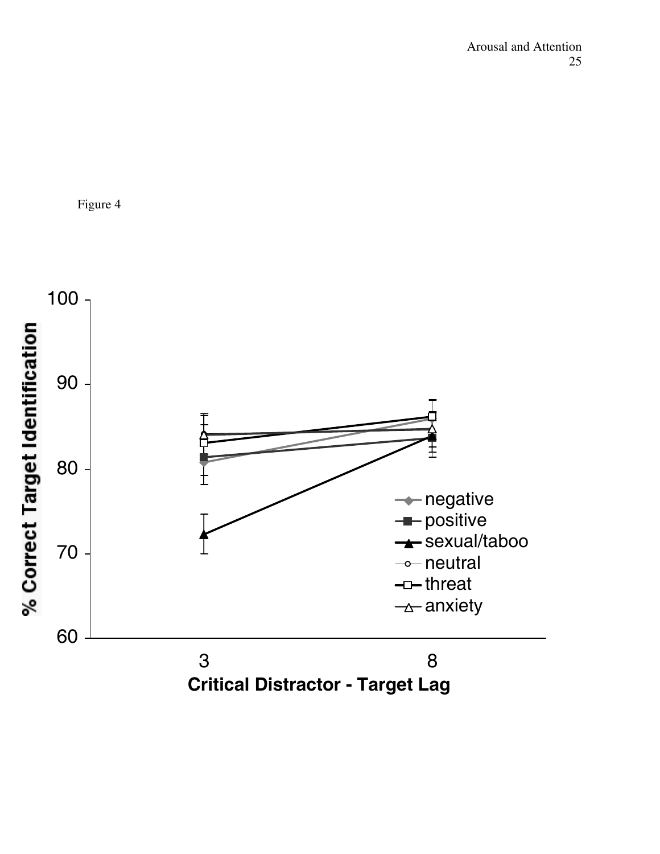

Figure 4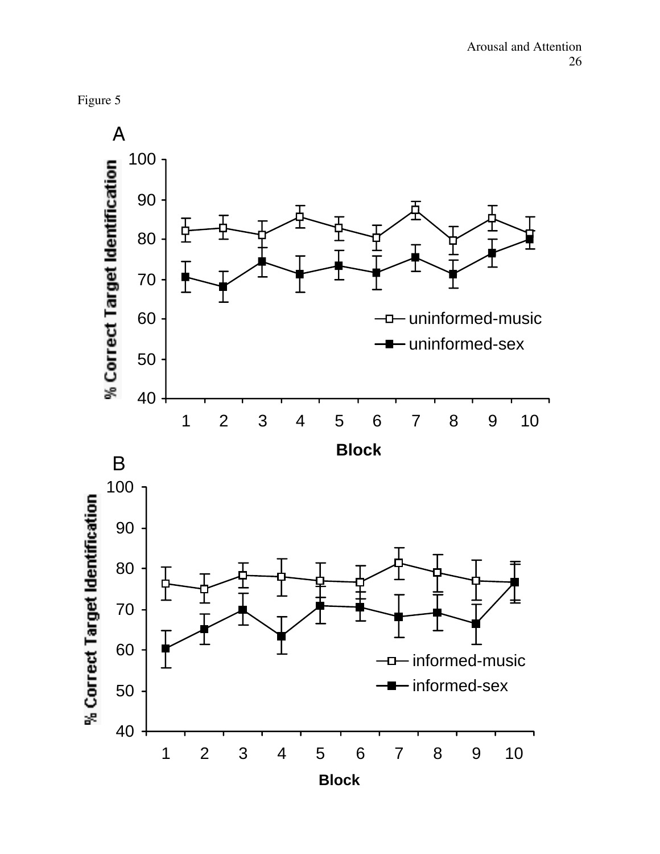

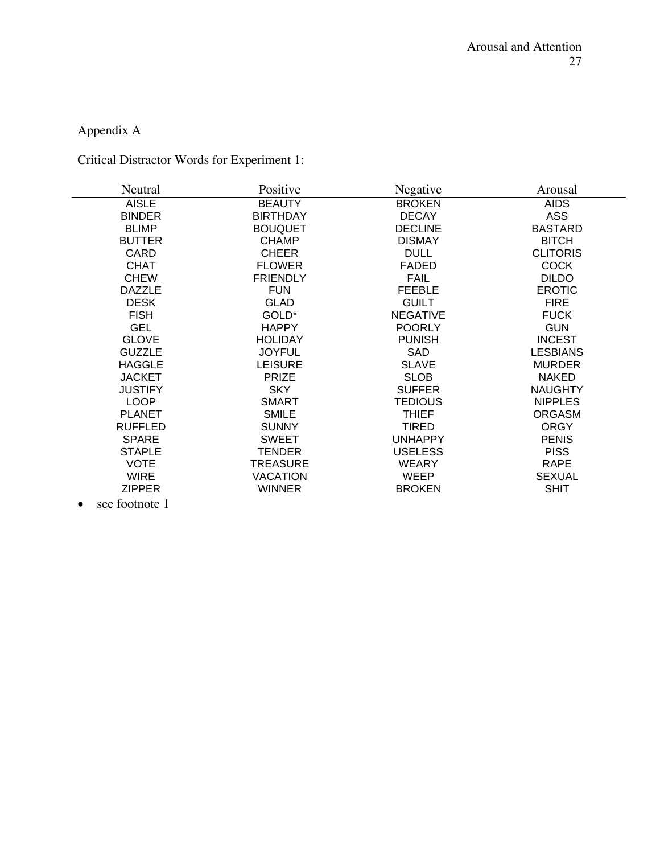# Appendix A

# Critical Distractor Words for Experiment 1:

| Neutral        | Positive        | Negative        | Arousal         |
|----------------|-----------------|-----------------|-----------------|
| <b>AISLE</b>   | <b>BEAUTY</b>   | <b>BROKEN</b>   | <b>AIDS</b>     |
| <b>BINDER</b>  | <b>BIRTHDAY</b> | <b>DECAY</b>    | <b>ASS</b>      |
| <b>BLIMP</b>   | <b>BOUQUET</b>  | <b>DECLINE</b>  | <b>BASTARD</b>  |
| <b>BUTTER</b>  | <b>CHAMP</b>    | <b>DISMAY</b>   | <b>BITCH</b>    |
| <b>CARD</b>    | <b>CHEER</b>    | <b>DULL</b>     | <b>CLITORIS</b> |
| <b>CHAT</b>    | <b>FLOWER</b>   | <b>FADED</b>    | <b>COCK</b>     |
| <b>CHEW</b>    | <b>FRIENDLY</b> | <b>FAIL</b>     | <b>DILDO</b>    |
| <b>DAZZLE</b>  | <b>FUN</b>      | <b>FEEBLE</b>   | <b>EROTIC</b>   |
| <b>DESK</b>    | <b>GLAD</b>     | <b>GUILT</b>    | <b>FIRE</b>     |
| <b>FISH</b>    | GOLD*           | <b>NEGATIVE</b> | <b>FUCK</b>     |
| <b>GEL</b>     | <b>HAPPY</b>    | <b>POORLY</b>   | <b>GUN</b>      |
| <b>GLOVE</b>   | <b>HOLIDAY</b>  | <b>PUNISH</b>   | <b>INCEST</b>   |
| <b>GUZZLE</b>  | <b>JOYFUL</b>   | <b>SAD</b>      | <b>LESBIANS</b> |
| <b>HAGGLE</b>  | <b>LEISURE</b>  | <b>SLAVE</b>    | <b>MURDER</b>   |
| <b>JACKET</b>  | <b>PRIZE</b>    | <b>SLOB</b>     | <b>NAKED</b>    |
| <b>JUSTIFY</b> | <b>SKY</b>      | <b>SUFFER</b>   | <b>NAUGHTY</b>  |
| <b>LOOP</b>    | <b>SMART</b>    | <b>TEDIOUS</b>  | <b>NIPPLES</b>  |
| <b>PLANET</b>  | <b>SMILE</b>    | <b>THIEF</b>    | <b>ORGASM</b>   |
| <b>RUFFLED</b> | <b>SUNNY</b>    | TIRED           | <b>ORGY</b>     |
| <b>SPARE</b>   | <b>SWEET</b>    | <b>UNHAPPY</b>  | <b>PENIS</b>    |
| <b>STAPLE</b>  | TENDER          | <b>USELESS</b>  | <b>PISS</b>     |
| <b>VOTE</b>    | TREASURE        | <b>WEARY</b>    | <b>RAPE</b>     |
| <b>WIRE</b>    | <b>VACATION</b> | WEEP            | <b>SEXUAL</b>   |
| <b>ZIPPER</b>  | <b>WINNER</b>   | <b>BROKEN</b>   | <b>SHIT</b>     |

• see footnote 1